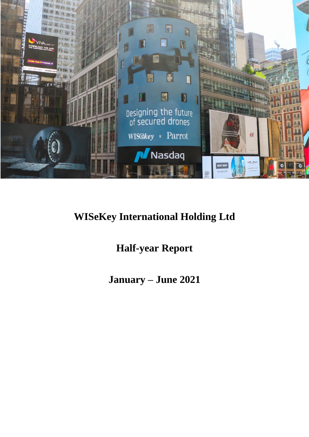

# **WISeKey International Holding Ltd**

# **Half-year Report**

**January – June 2021**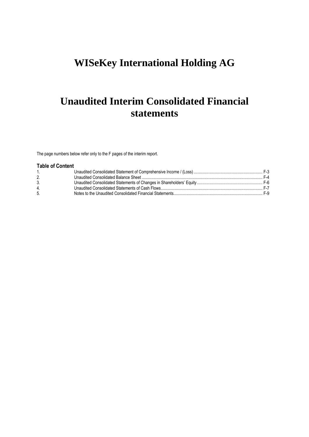# **WISeKey International Holding AG**

# **Unaudited Interim Consolidated Financial statements**

The page numbers below refer only to the F pages of the interim report.

## **Table of Content**

| 4. |  |
|----|--|
| 5. |  |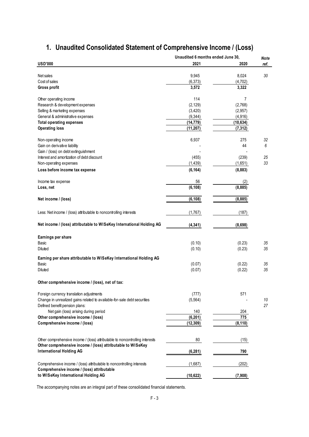|                                                                              | Unaudited 6 months ended June 30, |           | <b>Note</b> |
|------------------------------------------------------------------------------|-----------------------------------|-----------|-------------|
| <b>USD'000</b>                                                               | 2021                              | 2020      | ref.        |
|                                                                              |                                   |           |             |
| Net sales                                                                    | 9,945                             | 8,024     | 30          |
| Cost of sales                                                                | (6, 373)                          | (4, 702)  |             |
| Gross profit                                                                 | 3,572                             | 3,322     |             |
|                                                                              |                                   |           |             |
| Other operating income                                                       | 114                               | 7         |             |
| Research & development expenses                                              | (2, 129)                          | (2,768)   |             |
| Selling & marketing expenses                                                 | (3,420)                           | (2,957)   |             |
| General & administrative expenses                                            | (9, 344)                          | (4, 916)  |             |
| <b>Total operating expenses</b>                                              | (14, 779)                         | (10, 634) |             |
| <b>Operating loss</b>                                                        | (11, 207)                         | (7, 312)  |             |
| Non-operating income                                                         | 6,937                             | 275       | 32          |
|                                                                              |                                   | 44        |             |
| Gain on derivative liability                                                 |                                   |           | 6           |
| Gain / (loss) on debt extinguishment                                         |                                   |           |             |
| Interest and amortization of debt discount                                   | (455)                             | (239)     | 25          |
| Non-operating expenses                                                       | (1, 439)                          | (1,651)   | 33          |
| Loss before income tax expense                                               | (6, 164)                          | (8,883)   |             |
|                                                                              |                                   |           |             |
| Income tax expense                                                           | 56                                | (2)       |             |
| Loss, net                                                                    | (6, 108)                          | (8, 885)  |             |
| Net income / (loss)                                                          | (6, 108)                          | (8, 885)  |             |
|                                                                              |                                   |           |             |
| Less: Net income / (loss) attributable to noncontrolling interests           | (1,767)                           | (187)     |             |
|                                                                              |                                   |           |             |
| Net income / (loss) attributable to WISeKey International Holding AG         | (4, 341)                          | (8,698)   |             |
|                                                                              |                                   |           |             |
| Earnings per share                                                           |                                   |           |             |
| Basic                                                                        | (0.10)                            | (0.23)    | 35          |
| <b>Diluted</b>                                                               | (0.10)                            | (0.23)    | 35          |
| Earning per share attributable to WISeKey International Holding AG           |                                   |           |             |
| Basic                                                                        | (0.07)                            | (0.22)    | 35          |
| <b>Diluted</b>                                                               | (0.07)                            | (0.22)    | 35          |
|                                                                              |                                   |           |             |
| Other comprehensive income / (loss), net of tax:                             |                                   |           |             |
|                                                                              |                                   |           |             |
| Foreign currency translation adjustments                                     | (777)                             | 571       |             |
| Change in unrealized gains related to available-for-sale debt securities     | (5, 564)                          |           | 10          |
| Defined benefit pension plans:                                               |                                   |           | 27          |
| Net gain (loss) arising during period                                        | 140                               | 204       |             |
| Other comprehensive income / (loss)                                          | (6, 201)                          | 775       |             |
| Comprehensive income / (loss)                                                | (12, 309)                         | (8, 110)  |             |
|                                                                              |                                   |           |             |
| Other comprehensive income / (loss) attributable to noncontrolling interests | 80                                | (15)      |             |
| Other comprehensive income / (loss) attributable to WISeKey                  |                                   |           |             |
| <b>International Holding AG</b>                                              | (6, 281)                          | 790       |             |
|                                                                              |                                   |           |             |
| Comprehensive income / (loss) attributable to noncontrolling interests       | (1,687)                           | (202)     |             |
| Comprehensive income / (loss) attributable                                   |                                   |           |             |
| to WISeKey International Holding AG                                          | (10, 622)                         | (7,908)   |             |

## <span id="page-2-0"></span>**1. Unaudited Consolidated Statement of Comprehensive Income / (Loss)**

The accompanying notes are an integral part of these consolidated financial statements.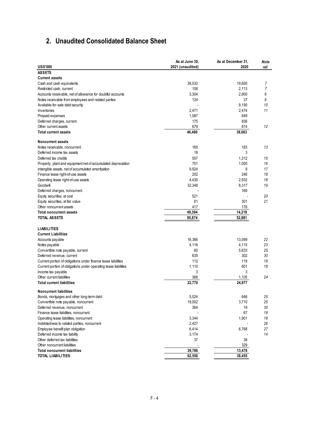## <span id="page-3-0"></span>**2. Unaudited Consolidated Balance Sheet**

|                                                                  | As at June 30,   | As at December 31, | Note |
|------------------------------------------------------------------|------------------|--------------------|------|
| <b>USD'000</b>                                                   | 2021 (unaudited) | 2020               | ref. |
| <b>ASSETS</b>                                                    |                  |                    |      |
| <b>Current assets</b>                                            |                  |                    |      |
| Cash and cash equivalents                                        | 38,532           | 19,650             | 7    |
| Restricted cash, current                                         | 108              | 2,113              | 7    |
| Accounts receivable, net of allowance for doubtful accounts      | 3,304            | 2,900              | 8    |
| Notes receivable from employees and related parties              | 124              | 37                 | 9    |
| Available-for-sale debt security                                 |                  | 9,190              | 10   |
| Inventories                                                      | 2,471            | 2,474              | 11   |
| Prepaid expenses                                                 | 1,087            | 649                |      |
| Deferred charges, current                                        | 175              | 836                |      |
| Other current assets                                             | 679              | 814                | 12   |
| <b>Total current assets</b>                                      | 46,480           | 38,663             |      |
| <b>Noncurrent assets</b>                                         |                  |                    |      |
| Notes receivable, noncurrent                                     | 165              | 183                | 13   |
| Deferred income tax assets                                       | 18               | 3                  |      |
| Deferred tax credits                                             | 557              | 1,312              | 15   |
| Property, plant and equipment net of accumulated depreciation    | 751              | 1,000              | 16   |
| Intangible assets, net of accumulated amortization               | 9,924            | 9                  | 17   |
| Finance lease right-of-use assets                                | 202              | 246                | 18   |
| Operating lease right-of-use assets                              | 4,430            | 2,502              | 18   |
| Goodwill                                                         | 32,348           | 8,317              | 19   |
| Deferred charges, noncurrent                                     |                  | 169                |      |
| Equity securities, at cost                                       | 521              |                    | 20   |
| Equity securities, at fair value                                 | 61               | 301                | 21   |
| Other noncurrent assets                                          | 417              | 176                |      |
| <b>Total noncurrent assets</b>                                   | 49,394           | 14,218             |      |
| <b>TOTAL ASSETS</b>                                              | 95,874           | 52,881             |      |
|                                                                  |                  |                    |      |
| <b>LIABILITIES</b>                                               |                  |                    |      |
| <b>Current Liabilities</b>                                       |                  |                    |      |
| Accounts payable                                                 | 16,366           | 13,099             | 22   |
| Notes payable                                                    | 4,116            | 4,115              | 23   |
| Convertible note payable, current                                | 60               | 5,633              | 25   |
| Deferred revenue, current                                        | 635              | 302                | 30   |
| Current portion of obligations under finance lease liabilities   | 112              | 119                | 18   |
| Current portion of obligations under operating lease liabilities | 1,110            | 601                | 18   |
| Income tax payable                                               | 3                | 3                  |      |
| Other current liabilities                                        | 368              | 1,105              | 24   |
| <b>Total current liabilities</b>                                 | 22,770           | 24,977             |      |
| <b>Noncurrent liabilities</b>                                    |                  |                    |      |
| Bonds, mortgages and other long-term debt                        | 5,024            | 646                | 25   |
| Convertible note payable, noncurrent                             | 19,002           | 3,710              | 25   |
| Deferred revenue, noncurrent                                     | 364              | 19                 | 30   |
| Finance lease liabilities, noncurrent                            |                  | 67                 | 18   |
| Operating lease liabilities, noncurrent                          | 3,344            | 1,901              | 18   |
| Indebtedness to related parties, noncurrent                      | 2,427            |                    | 26   |
| Employee benefit plan obligation                                 | 6,414            | 6,768              | 27   |
| Deferred income tax liability                                    | 3,174            |                    | 14   |
| Other deferred tax liabilities                                   | 37               | 38                 |      |
| Other noncurrent liabilities                                     |                  | 329                |      |
| <b>Total noncurrent liabilities</b>                              | 39,786           | 13,478             |      |
| <b>TOTAL LIABILITIES</b>                                         | 62,556           | 38,455             |      |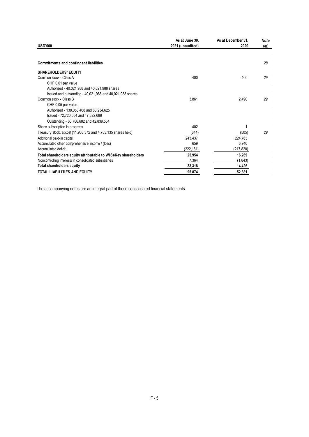| <b>USD'000</b><br>2020<br>2021 (unaudited)<br>ref.<br>28<br><b>Commitments and contingent liabilities</b><br><b>SHAREHOLDERS' EQUITY</b><br>400<br>400<br>29<br>Common stock - Class A<br>CHF 0.01 par value<br>Authorized - 40,021,988 and 40,021,988 shares<br>Issued and outstanding - 40,021,988 and 40,021,988 shares<br>Common stock - Class B<br>3,861<br>2,490<br>29<br>CHF 0.05 par value |
|----------------------------------------------------------------------------------------------------------------------------------------------------------------------------------------------------------------------------------------------------------------------------------------------------------------------------------------------------------------------------------------------------|
|                                                                                                                                                                                                                                                                                                                                                                                                    |
|                                                                                                                                                                                                                                                                                                                                                                                                    |
|                                                                                                                                                                                                                                                                                                                                                                                                    |
|                                                                                                                                                                                                                                                                                                                                                                                                    |
|                                                                                                                                                                                                                                                                                                                                                                                                    |
|                                                                                                                                                                                                                                                                                                                                                                                                    |
|                                                                                                                                                                                                                                                                                                                                                                                                    |
|                                                                                                                                                                                                                                                                                                                                                                                                    |
|                                                                                                                                                                                                                                                                                                                                                                                                    |
|                                                                                                                                                                                                                                                                                                                                                                                                    |
| Authorized - 138,058,468 and 63,234,625                                                                                                                                                                                                                                                                                                                                                            |
| Issued - 72,720,054 and 47,622,689                                                                                                                                                                                                                                                                                                                                                                 |
| Outstanding - 60,786,682 and 42,839,554                                                                                                                                                                                                                                                                                                                                                            |
| 402<br>Share subscription in progress<br>1                                                                                                                                                                                                                                                                                                                                                         |
| 29<br>Treasury stock, at cost (11,933,372 and 4,783,135 shares held)<br>(644)<br>(505)                                                                                                                                                                                                                                                                                                             |
| Additional paid-in capital<br>224,763<br>243.437                                                                                                                                                                                                                                                                                                                                                   |
| Accumulated other comprehensive income / (loss)<br>659<br>6,940                                                                                                                                                                                                                                                                                                                                    |
| Accumulated deficit<br>(222, 161)<br>(217, 820)                                                                                                                                                                                                                                                                                                                                                    |
| Total shareholders' equity attributable to WISeKey shareholders<br>25,954<br>16,269                                                                                                                                                                                                                                                                                                                |
| Noncontrolling interests in consolidated subsidiaries<br>7,364<br>(1, 843)                                                                                                                                                                                                                                                                                                                         |
| Total shareholders'equity<br>33,318<br>14,426                                                                                                                                                                                                                                                                                                                                                      |
| TOTAL LIABILITIES AND EQUITY<br>95,874<br>52,881                                                                                                                                                                                                                                                                                                                                                   |

<span id="page-4-0"></span>The accompanying notes are an integral part of these consolidated financial statements.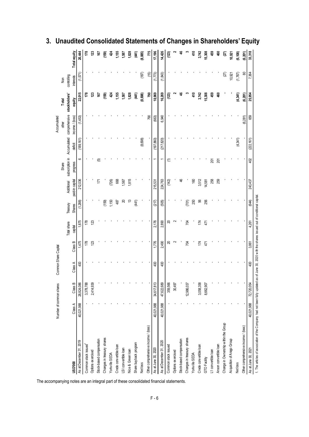<span id="page-5-0"></span>

|                                      |                         |            |                      |         |             |             |                 |                  |             | Accumulated     |               |                |              |
|--------------------------------------|-------------------------|------------|----------------------|---------|-------------|-------------|-----------------|------------------|-------------|-----------------|---------------|----------------|--------------|
|                                      | Number of common shares |            | Common Share Capital |         |             |             |                 | Share            |             | other           | Total         | $\overline{N}$ |              |
|                                      |                         |            |                      |         | Total share | Treasury    | Additional      | subscription in  | Accumulated | comprehensive   | stockholders' | controlling    |              |
|                                      | Class A                 | Class B    | Class A              | Class B | capital     | Shares      | paid-in capital | progress         | deficit     | income / (loss) | equity        | interests      | Total equity |
|                                      | 40,021,988              | 28,824,086 | 400                  | 1,475   | 1,875       | (1, 288)    | 212,036         | ဖ                | (189, 161)  | (1,453)         | 22,015        | (1,571)        | 20,444       |
|                                      |                         | 3,378,788  |                      | 178     | 178         |             |                 |                  |             |                 | 178           |                | 178          |
|                                      |                         | 2,414,939  |                      | 123     | 123         |             |                 |                  |             |                 | 123           |                | 123          |
|                                      |                         |            |                      |         |             |             | 171             | 叵                |             |                 | 167           |                | 167          |
|                                      |                         |            |                      |         |             | (159)       |                 |                  |             |                 | (159)         |                | (159)        |
|                                      |                         |            |                      |         |             | 1,150       | (726)           |                  |             |                 | 424           |                | 424          |
|                                      |                         |            |                      |         |             | 487         | 668             |                  |             |                 | 1,155         |                | 1,155        |
|                                      |                         |            |                      |         |             | ସ           | 1,567           |                  |             |                 | 1,587         |                | 1,587        |
|                                      |                         |            |                      |         |             | $\tilde{c}$ | 1,815           |                  |             |                 | 1,828         |                | 1,828        |
|                                      |                         |            |                      |         |             | (441)       |                 |                  |             |                 | (44)          |                | (41)         |
|                                      |                         |            |                      |         |             |             |                 |                  | (8,698)     |                 | (8,698)       | (187)          | (8, 885)     |
|                                      |                         |            |                      |         |             |             |                 |                  |             | 790             | <b>PBZ</b>    | (15)           | 775          |
|                                      | 40,021,988              | 34,617,813 | 400                  | 1,776   | 2,176       | (217)       | 215,531         |                  | (197, 860)  | (663)           | 18,969        | (1,773)        | 17,196       |
|                                      | 40,021,988              | 47,622,689 | 400                  | 2,490   | 2,890       | (505)       | 224,763         |                  | (217, 820)  | 6,940           | 16,269        | (1, 843)       | 14,426       |
|                                      |                         | 359,566    |                      | ສ       | ສ           |             | (142)           | €                |             |                 | (123)         |                | (123)        |
|                                      |                         | 30,497     |                      | $\sim$  | N           |             |                 |                  |             |                 |               |                |              |
|                                      |                         |            |                      |         |             |             | \$              |                  |             |                 | ୱ             |                | \$           |
|                                      |                         | 12,986,037 |                      | Ŕ       | ŔД          | (701)       |                 |                  |             |                 | ო             |                | m            |
|                                      |                         |            |                      |         |             | 250         | 160             |                  |             |                 | 410           |                | 410          |
|                                      |                         | 3,058,358  |                      | 174     | 174         | SG          | 3,512           |                  |             |                 | 3,742         |                | 3,742        |
|                                      |                         | 8,662,907  |                      | 471     | 471         | 256         | 14,581          |                  |             |                 | 15,308        |                | 15,308       |
|                                      |                         |            |                      |         |             |             | 258             | 201              |             |                 | 459           |                | 459          |
|                                      |                         |            |                      |         |             |             | 259             | $\overline{201}$ |             |                 | 460           |                | \$           |
| Change in Ownership within the Group |                         |            |                      |         |             |             |                 |                  |             |                 |               | (ZT)           | S)           |
|                                      |                         |            |                      |         |             |             |                 |                  |             |                 |               | 10,921         | 10,921       |
|                                      |                         |            |                      |         |             |             |                 |                  | (4,341)     |                 | (4,341)       | (1,767)        | (6, 108)     |
| Other comprehensive income / (loss)  |                         |            |                      |         |             |             |                 |                  |             | (6, 281)        | (6,281)       | 8              | (6, 201)     |
|                                      | 40,021,988              | 72,720,054 | 400                  | 3,861   | 4,261       | (644)       | 243,437         | 402              | (222, 161)  | 659             | 25,954        | 7,364          | 33,318       |

## **3. Unaudited Consolidated Statements of Changes in Shareholders' Equity**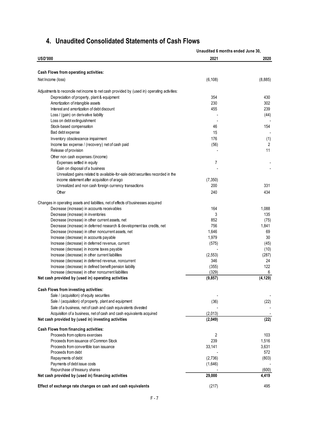|                                                                                             | Unaudited 6 months ended June 30, |                |
|---------------------------------------------------------------------------------------------|-----------------------------------|----------------|
| <b>USD'000</b>                                                                              | 2021                              | 2020           |
|                                                                                             |                                   |                |
| Cash Flows from operating activities:                                                       |                                   |                |
| Net Income (loss)                                                                           | (6, 108)                          | (8,885)        |
| Adjustments to reconcile net income to net cash provided by (used in) operating activities: |                                   |                |
| Depreciation of property, plant & equipment                                                 | 354                               | 430            |
| Amortization of intangible assets                                                           | 230                               | 302            |
| Interest and amortization of debt discount                                                  | 455                               | 239            |
| Loss / (gain) on derivative liability                                                       |                                   | (44)           |
| Loss on debt extinguishment                                                                 |                                   |                |
| Stock-based compensation                                                                    | 46                                | 154            |
| Bad debt expense                                                                            | 15                                |                |
| Inventory obsolescence impairment                                                           | 176                               | (1)            |
| Income tax expense / (recovery) net of cash paid                                            | (56)                              | $\overline{2}$ |
| Release of provision                                                                        |                                   | 11             |
| Other non cash expenses /(income)                                                           |                                   |                |
| Expenses settled in equity                                                                  | $\overline{7}$                    |                |
| Gain on disposal of a business                                                              |                                   |                |
| Unrealized gains related to available-for-sale debt securities recorded in the              |                                   |                |
| income statement after acquisition of arago                                                 | (7, 350)                          |                |
| Unrealized and non cash foreign currency transactions                                       | 200                               | 331            |
| Other                                                                                       | 240                               | 434            |
| Changes in operating assets and liabilities, net of effects of businesses acquired          |                                   |                |
| Decrease (increase) in accounts receivables                                                 | 164                               | 1,088          |
| Decrease (increase) in inventories                                                          | 3                                 | 135            |
| Decrease (increase) in other current assets, net                                            | 852                               | (75)           |
| Decrease (increase) in deferred research & development tax credits, net                     | 756                               | 1,841          |
| Decrease (increase) in other noncurrent assets, net                                         | 1,646                             | 69             |
| Increase (decrease) in accounts payable                                                     | 1,979                             | 30             |
| Increase (decrease) in deferred revenue, current                                            | (575)                             | (45)           |
| Increase (decrease) in income taxes payable                                                 |                                   | (10)           |
| Increase (decrease) in other current liabilities                                            | (2, 553)                          | (287)          |
| Increase (decrease) in deferred revenue, noncurrent                                         | 346                               | 24             |
| Increase (decrease) in defined benefit pension liability                                    | (355)                             | 122            |
| Increase (decrease) in other noncurrent liabilities                                         | (329)                             | 6              |
| Net cash provided by (used in) operating activities                                         | (9, 857)                          | (4, 129)       |
| Cash Flows from investing activities:                                                       |                                   |                |
| Sale / (acquisition) of equity securities                                                   |                                   |                |
| Sale / (acquisition) of property, plant and equipment                                       | (36)                              | (22)           |
| Sale of a business, net of cash and cash equivalents divested                               |                                   |                |
| Acquisition of a business, net of cash and cash equivalents acquired                        | (2,013)                           |                |
| Net cash provided by (used in) investing activities                                         | (2,049)                           | (22)           |
| Cash Flows from financing activities:                                                       |                                   |                |
| Proceeds from options exercises                                                             | 2                                 | 103            |
| Proceeds from issuance of Common Stock                                                      | 239                               | 1,516          |
| Proceeds from convertible loan issuance                                                     | 33,141                            | 3,631          |
| Proceeds from debt                                                                          |                                   | 572            |
| Repayments of debt                                                                          | (2,736)                           | (803)          |
| Payments of debt issue costs                                                                | (1,646)                           |                |
| Repurchase of treasury shares                                                               |                                   | (600)          |
| Net cash provided by (used in) financing activities                                         | 29,000                            | 4,419          |

## **4. Unaudited Consolidated Statements of Cash Flows**

(217) 495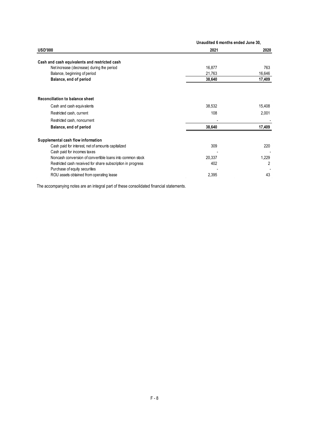|                                                             | Unaudited 6 months ended June 30, |        |
|-------------------------------------------------------------|-----------------------------------|--------|
| <b>USD'000</b>                                              | 2021                              | 2020   |
| Cash and cash equivalents and restricted cash               |                                   |        |
| Net increase (decrease) during the period                   | 16,877                            | 763    |
| Balance, beginning of period                                | 21,763                            | 16,646 |
| Balance, end of period                                      | 38,640                            | 17,409 |
| <b>Reconciliation to balance sheet</b>                      |                                   |        |
| Cash and cash equivalents                                   | 38,532                            | 15,408 |
| Restricted cash, current                                    | 108                               | 2,001  |
| Restricted cash, noncurrent                                 |                                   |        |
| Balance, end of period                                      | 38,640                            | 17,409 |
| Supplemental cash flow information                          |                                   |        |
| Cash paid for interest, net of amounts capitalized          | 309                               | 220    |
| Cash paid for incomes taxes                                 |                                   |        |
| Noncash conversion of convertible loans into common stock   | 20,337                            | 1,229  |
| Restricted cash received for share subscription in progress | 402                               | 2      |
| Purchase of equity securities                               |                                   |        |
| ROU assets obtained from operating lease                    | 2,395                             | 43     |

The accompanying notes are an integral part of these consolidated financial statements.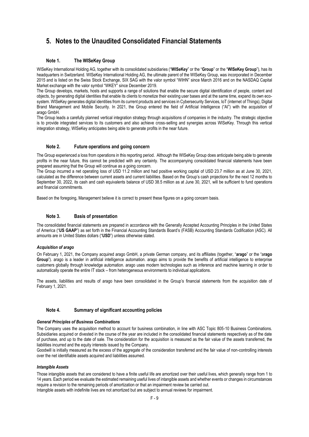## <span id="page-8-0"></span>**5. Notes to the Unaudited Consolidated Financial Statements**

## **Note 1. The WISeKey Group**

WISeKey International Holding AG, together with its consolidated subsidiaries ("**WISeKey**" or the "**Group**" or the "**WISeKey Group**"), has its headquarters in Switzerland. WISeKey International Holding AG, the ultimate parent of the WISeKey Group, was incorporated in December 2015 and is listed on the Swiss Stock Exchange, SIX SAG with the valor symbol "WIHN" since March 2016 and on the NASDAQ Capital Market exchange with the valor symbol "WKEY" since December 2019.

The Group develops, markets, hosts and supports a range of solutions that enable the secure digital identification of people, content and objects, by generating digital identities that enable its clients to monetize their existing user bases and at the same time, expand its own ecosystem. WISeKey generates digital identities from its current products and services in Cybersecurity Services, IoT (internet of Things), Digital Brand Management and Mobile Security. In 2021, the Group entered the field of Artificial Intelligence ("AI") with the acquisition of arago GmbH.

The Group leads a carefully planned vertical integration strategy through acquisitions of companies in the industry. The strategic objective is to provide integrated services to its customers and also achieve cross-selling and synergies across WISeKey. Through this vertical integration strategy, WISeKey anticipates being able to generate profits in the near future.

## **Note 2. Future operations and going concern**

The Group experienced a loss from operations in this reporting period. Although the WISeKey Group does anticipate being able to generate profits in the near future, this cannot be predicted with any certainty. The accompanying consolidated financial statements have been prepared assuming that the Group will continue as a going concern.

The Group incurred a net operating loss of USD 11.2 million and had positive working capital of USD 23.7 million as at June 30, 2021, calculated as the difference between current assets and current liabilities. Based on the Group's cash projections for the next 12 months to September 30, 2022, its cash and cash equivalents balance of USD 38.5 million as at June 30, 2021, will be sufficient to fund operations and financial commitments.

Based on the foregoing, Management believe it is correct to present these figures on a going concern basis.

## **Note 3. Basis of presentation**

The consolidated financial statements are prepared in accordance with the Generally Accepted Accounting Principles in the United States of America ("**US GAAP**") as set forth in the Financial Accounting Standards Board's (FASB) Accounting Standards Codification (ASC). All amounts are in United States dollars ("**USD**") unless otherwise stated.

## *Acquisition of arago*

On February 1, 2021, the Company acquired arago GmbH, a private German company, and its affiliates (together, "**arago**" or the "a**rago Group**"). arago is a leader in artificial intelligence automation. arago aims to provide the benefits of artificial intelligence to enterprise customers globally through knowledge automation. arago uses modern technologies such as inference and machine learning in order to automatically operate the entire IT stack – from heterogeneous environments to individual applications.

The assets, liabilities and results of arago have been consolidated in the Group's financial statements from the acquisition date of February 1, 2021.

## **Note 4. Summary of significant accounting policies**

## *General Principles of Business Combinations*

The Company uses the acquisition method to account for business combination, in line with ASC Topic 805-10 Business Combinations. Subsidiaries acquired or divested in the course of the year are included in the consolidated financial statements respectively as of the date of purchase, and up to the date of sale. The consideration for the acquisition is measured as the fair value of the assets transferred, the liabilities incurred and the equity interests issued by the Company.

Goodwill is initially measured as the excess of the aggregate of the consideration transferred and the fair value of non-controlling interests over the net identifiable assets acquired and liabilities assumed.

## *Intangible Assets*

Those intangible assets that are considered to have a finite useful life are amortized over their useful lives, which generally range from 1 to 14 years. Each period we evaluate the estimated remaining useful lives of intangible assets and whether events or changes in circumstances require a revision to the remaining periods of amortization or that an impairment review be carried out. Intangible assets with indefinite lives are not amortized but are subject to annual reviews for impairment.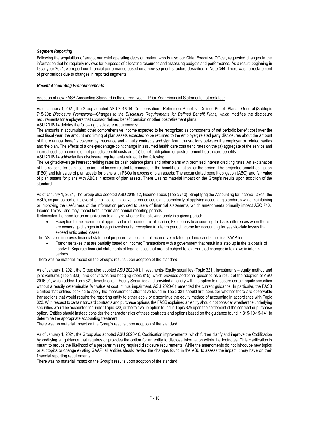## *Segment Reporting*

Following the acquisition of arago, our chief operating decision maker, who is also our Chief Executive Officer, requested changes in the information that he regularly reviews for purposes of allocating resources and assessing budgets and performance. As a result, beginning in fiscal year 2021, we report our financial performance based on a new segment structure described in [Note 344](#page-38-0). There was no restatement of prior periods due to changes in reported segments.

## *Recent Accounting Pronouncements*

Adoption of new FASB Accounting Standard in the current year – Prior-Year Financial Statements not restated:

As of January 1, 2021, the Group adopted ASU 2018-14, Compensation—Retirement Benefits—Defined Benefit Plans—General (Subtopic 715-20): *Disclosure Framework—Changes to the Disclosure Requirements for Defined Benefit Plans, which* modifies the disclosure requirements for employers that sponsor defined benefit pension or other postretirement plans.

ASU 2018-14 deletes the following disclosure requirements:

The amounts in accumulated other comprehensive income expected to be recognized as components of net periodic benefit cost over the next fiscal year; the amount and timing of plan assets expected to be returned to the employer; related party disclosures about the amount of future annual benefits covered by insurance and annuity contracts and significant transactions between the employer or related parties and the plan. The effects of a one-percentage-point change in assumed health care cost trend rates on the (a) aggregate of the service and interest cost components of net periodic benefit costs and (b) benefit obligation for postretirement health care benefits. ASU 2018-14 adds/clarifies disclosure requirements related to the following:

The weighted-average interest crediting rates for cash balance plans and other plans with promised interest crediting rates; An explanation of the reasons for significant gains and losses related to changes in the benefit obligation for the period; The projected benefit obligation (PBO) and fair value of plan assets for plans with PBOs in excess of plan assets; The accumulated benefit obligation (ABO) and fair value of plan assets for plans with ABOs in excess of plan assets. There was no material impact on the Group's results upon adoption of the standard.

As of January 1, 2021, The Group also adopted ASU 2019-12, Income Taxes (Topic 740): Simplifying the Accounting for Income Taxes (the ASU), as part as part of its overall simplification initiative to reduce costs and complexity of applying accounting standards while maintaining or improving the usefulness of the information provided to users of financial statements, which amendments primarily impact ASC 740, Income Taxes, and may impact both interim and annual reporting periods.

It eliminates the need for an organization to analyze whether the following apply in a given period:

• Exception to the incremental approach for intraperiod tax allocation; Exceptions to accounting for basis differences when there are ownership changes in foreign investments; Exception in interim period income tax accounting for year-to-date losses that exceed anticipated losses.

The ASU also improves financial statement preparers' application of income tax-related guidance and simplifies GAAP for:

• Franchise taxes that are partially based on income; Transactions with a government that result in a step up in the tax basis of goodwill; Separate financial statements of legal entities that are not subject to tax; Enacted changes in tax laws in interim periods.

There was no material impact on the Group's results upon adoption of the standard.

As of January 1, 2021, the Group also adopted ASU 2020-01, Investments- Equity securities (Topic 321), Investments – equity method and joint ventures (Topic 323), and derivatives and hedging (topic 815), which provides additional guidance as a result of the adoption of ASU 2016-01, which added Topic 321, Investments – Equity Securities and provided an entity with the option to measure certain equity securities without a readily determinable fair value at cost, minus impairment. ASU 2020-01 amended the current guidance. In particular, the FASB clarified that entities seeking to apply the measurement alternative found in Topic 321 should first consider whether there are observable transactions that would require the reporting entity to either apply or discontinue the equity method of accounting in accordance with Topic 323. With respect to certain forward contracts and purchase options, the FASB explained an entity should not consider whether the underlying securities would be accounted for under Topic 323, or the fair value option found in Topic 825 upon the settlement of the contract or purchase option. Entities should instead consider the characteristics of these contracts and options based on the guidance found in 815-10-15-141 to determine the appropriate accounting treatment.

There was no material impact on the Group's results upon adoption of the standard.

As of January 1, 2021, the Group also adopted ASU 2020-10, Codification improvements, which further clarify and improve the Codification by codifying all guidance that requires or provides the option for an entity to disclose information within the footnotes. This clarification is meant to reduce the likelihood of a preparer missing required disclosure requirements. While the amendments do not introduce new topics or subtopics or change existing GAAP, all entities should review the changes found in the ASU to assess the impact it may have on their financial reporting requirements.

There was no material impact on the Group's results upon adoption of the standard.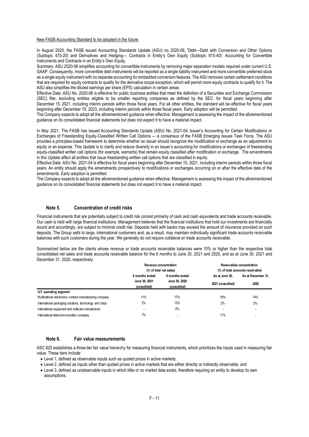#### New FASB Accounting Standard to be adopted in the future:

In August 2020, the FASB issued Accounting Standards Update (ASU) no 2020-06, 'Debt—Debt with Conversion and Other Options (Subtopic 470-20) and Derivatives and Hedging— Contracts in Entity's Own Equity (Subtopic 815-40): Accounting for Convertible Instruments and Contracts in an Entity's Own Equity.

Summary: ASU 2020-06 simplifies accounting for convertible instruments by removing major separation models required under current U.S. GAAP. Consequently, more convertible debt instruments will be reported as a single liability instrument and more convertible preferred stock as a single equity instrument with no separate accounting for embedded conversion features. The ASU removes certain settlement conditions that are required for equity contracts to qualify for the derivative scope exception, which will permit more equity contracts to qualify for it. The ASU also simplifies the diluted earnings per share (EPS) calculation in certain areas.

Effective Date: ASU No. 2020-06 is effective for public business entities that meet the definition of a Securities and Exchange Commission (SEC) filer, excluding entities eligible to be smaller reporting companies as defined by the SEC, for fiscal years beginning after December 15, 2021, including interim periods within those fiscal years. For all other entities, the standard will be effective for fiscal years beginning after December 15, 2023, including interim periods within those fiscal years. Early adoption will be permitted.

The Company expects to adopt all the aforementioned guidance when effective. Management is assessing the impact of the aforementioned guidance on its consolidated financial statements but does not expect it to have a material impact.

In May 2021, The FASB has issued [Accounting Standards Update \(ASU\) No. 2021-04,](https://www.fasb.org/cs/Satellite?c=Document_C&cid=1176176593141&pagename=FASB%2FDocument_C%2FDocumentPage) Issuer's Accounting for Certain Modifications or Exchanges of Freestanding Equity-Classified Written Call Options — a consensus of the FASB Emerging Issues Task Force. The ASU provides a principles-based framework to determine whether an issuer should recognize the modification or exchange as an adjustment to equity or an expense. This Update is to clarify and reduce diversity in an issuer's accounting for modifications or exchanges of freestanding equity-classified written call options (for example, warrants) that remain equity classified after modification or exchange. The amendments in this Update affect all entities that issue freestanding written call options that are classified in equity.

Effective Date: ASU No. 2021-04 is effective for fiscal years beginning after December 15, 2021, including interim periods within those fiscal years. An entity should apply the amendments prospectively to modifications or exchanges occurring on or after the effective date of the amendments. Early adoption is permitted.

The Company expects to adopt all the aforementioned guidance when effective. Management is assessing the impact of the aforementioned guidance on its consolidated financial statements but does not expect it to have a material impact.

## **Note 5. Concentration of credit risks**

Financial instruments that are potentially subject to credit risk consist primarily of cash and cash equivalents and trade accounts receivable. Our cash is held with large financial institutions. Management believes that the financial institutions that hold our investments are financially sound and accordingly, are subject to minimal credit risk. Deposits held with banks may exceed the amount of insurance provided on such deposits. The Group sells to large, international customers and, as a result, may maintain individually significant trade accounts receivable balances with such customers during the year. We generally do not require collateral on trade accounts receivable.

Summarized below are the clients whose revenue or trade accounts receivable balances were 10% or higher than the respective total consolidated net sales and trade accounts receivable balance for the 6 months to June 30, 2021 and 2020, and as at June 30, 2021 and December 31, 2020, respectively:

|                                                          | Receivables concentration<br>Revenue concentration |                        |                  |                                  |
|----------------------------------------------------------|----------------------------------------------------|------------------------|------------------|----------------------------------|
|                                                          |                                                    | (% of total net sales) |                  | (% of total accounts receivable) |
|                                                          | 6 months ended                                     | 6 months ended         | As at June 30.   | As at December 31.               |
|                                                          | June 30, 2021                                      | June 30, 2020          | 2021 (unaudited) | 2020                             |
|                                                          | (unaudited)                                        | (unaudited)            |                  |                                  |
| loT operating segment                                    |                                                    |                        |                  |                                  |
| Multinational electronics contract manufacturing company | 11%                                                | 17%                    | 18%              | 14%                              |
| International packaging solutions, technology and chips  | 2%                                                 | 13%                    | 2%               | 2%                               |
| International equipment and software manufacturer        |                                                    | 4%                     |                  | $\overline{\phantom{a}}$         |
| International telecommunication company                  | 7%                                                 |                        | 11%              | ٠                                |

#### **Note 6. Fair value measurements**

ASC 820 establishes a three-tier fair value hierarchy for measuring financial instruments, which prioritizes the inputs used in measuring fair value. These tiers include:

- Level 1, defined as observable inputs such as quoted prices in active markets;
- Level 2, defined as inputs other than quoted prices in active markets that are either directly or indirectly observable; and
- Level 3, defined as unobservable inputs in which little or no market data exists, therefore requiring an entity to develop its own assumptions.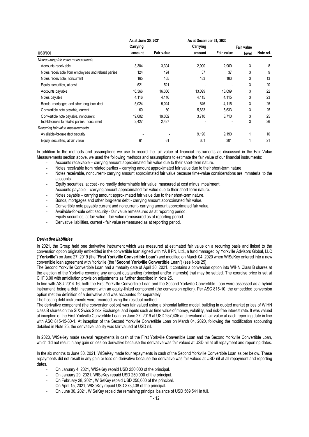|                                                     | As at June 30, 2021 |            | As at December 31, 2020 |            |            |           |
|-----------------------------------------------------|---------------------|------------|-------------------------|------------|------------|-----------|
|                                                     | Carrying            |            | Carrying                |            | Fair value |           |
| <b>USD'000</b>                                      | amount              | Fair value | amount                  | Fair value | level      | Note ref. |
| Nonrecurring fair value measurements                |                     |            |                         |            |            |           |
| Accounts receivable                                 | 3,304               | 3,304      | 2,900                   | 2,900      | 3          | 8         |
| Notes receivable from employees and related parties | 124                 | 124        | 37                      | 37         | 3          | 9         |
| Notes receivable, noncurrent                        | 165                 | 165        | 183                     | 183        | 3          | 13        |
| Equity securities, at cost                          | 521                 | 521        |                         |            | 3          | 20        |
| Accounts pay able                                   | 16,366              | 16,366     | 13,099                  | 13,099     | 3          | 22        |
| Notes payable                                       | 4,116               | 4,116      | 4,115                   | 4,115      | 3          | 23        |
| Bonds, mortgages and other long-term debt           | 5,024               | 5,024      | 646                     | 4,115      | 3          | 25        |
| Convertible note pay able, current                  | 60                  | 60         | 5,633                   | 5,633      | 3          | 25        |
| Convertible note pay able, noncurrent               | 19,002              | 19,002     | 3,710                   | 3,710      | 3          | 25        |
| Indebtedness to related parties, noncurrent         | 2,427               | 2,427      |                         |            | 3          | 26        |
| Recurring fair value measurements                   |                     |            |                         |            |            |           |
| Available-for-sale debt security                    |                     |            | 9,190                   | 9,190      | 1          | 10        |
| Equity securities, at fair value                    | 61                  | 61         | 301                     | 301        |            | 21        |

In addition to the methods and assumptions we use to record the fair value of financial instruments as discussed in the Fair Value Measurements section above, we used the following methods and assumptions to estimate the fair value of our financial instruments:

- Accounts receivable carrying amount approximated fair value due to their short-term nature.
- Notes receivable from related parties carrying amount approximated fair value due to their short-term nature.
- Notes receivable, noncurrent- carrying amount approximated fair value because time-value considerations are immaterial to the accounts.
- Equity securities, at cost no readily determinable fair value, measured at cost minus impairment.
- Accounts payable carrying amount approximated fair value due to their short-term nature.
- Notes payable carrying amount approximated fair value due to their short-term nature.
- Bonds, mortgages and other long-term debt carrying amount approximated fair value.
- Convertible note payable current and noncurrent- carrying amount approximated fair value.
- Available-for-sale debt security fair value remeasured as at reporting period.
- Equity securities, at fair value fair value remeasured as at reporting period.
- Derivative liabilities, current fair value remeasured as at reporting period.

#### *Derivative liabilities*

In 2021, the Group held one derivative instrument which was measured at estimated fair value on a recurring basis and linked to the conversion option originally embedded in the convertible loan signed with YA II PN, Ltd., a fund managed by Yorkville Advisors Global, LLC ("**Yorkville**") on June 27, 2019 (the "**First Yorkville Convertible Loan**") and modified on March 04, 2020 when WISeKey entered into a new convertible loan agreement with Yorkville (the "**Second Yorkville Convertible Loan**") (see Note 25).

The Second Yorkville Convertible Loan had a maturity date of April 30, 2021. It contains a conversion option into WIHN Class B shares at the election of the Yorkville covering any amount outstanding (principal and/or interests) that may be settled. The exercise price is set at CHF 3.00 with antidilution provision adjustments as further described in Note 25.

In line with ASU 2014-16, both the First Yorkville Convertible Loan and the Second Yorkville Convertible Loan were assessed as a hybrid instrument, being a debt instrument with an equity-linked component (the conversion option). Per ASC 815-10, the embedded conversion option met the definition of a derivative and was accounted for separately.

The hosting debt instruments were recorded using the residual method.

The derivative component (the conversion option) was fair valued using a binomial lattice model, building in quoted market prices of WIHN class B shares on the SIX Swiss Stock Exchange, and inputs such as time value of money, volatility, and risk-free interest rate. It was valued at inception of the First Yorkville Convertible Loan on June 27, 2019 at USD 257,435 and revalued at fair value at each reporting date in line with ASC 815-15-30-1. At inception of the Second Yorkville Convertible Loan on March 04, 2020, following the modification accounting detailed in Note 25, the derivative liability was fair valued at USD nil.

In 2020, WISeKey made several repayments in cash of the First Yorkville Convertible Loan and the Second Yorkville Convertible Loan, which did not result in any gain or loss on derivative because the derivative was fair valued at USD nil at all repayment and reporting dates.

In the six months to June 30, 2021, WISeKey made four repayments in cash of the Second Yorkville Convertible Loan as per below. These repayments did not result in any gain or loss on derivative because the derivative was fair valued at USD nil at all repayment and reporting dates.

- On January 4, 2021, WISeKey repaid USD 250,000 of the principal.
- On January 29, 2021, WISeKey repaid USD 250,000 of the principal.
- On February 28, 2021, WISeKey repaid USD 250,000 of the principal.
- On April 15, 2021, WISeKey repaid USD 373,438 of the principal.
- On June 30, 2021, WISeKey repaid the remaining principal balance of USD 569,541 in full.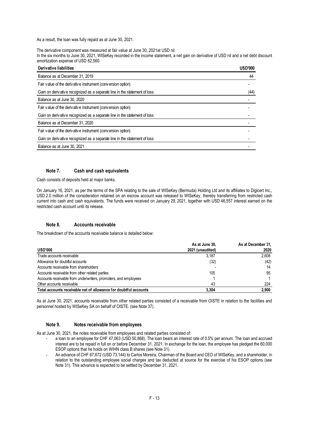As a result, the loan was fully repaid as at June 30, 2021.

The derivative component was measured at fair value at June 30, 2021at USD nil.

In the six months to June 30, 2021, WISeKey recorded in the income statement, a net gain on derivative of USD nil and a net debt discount amortization expense of USD 82,560.

| Derivative liabilities                                                    | <b>USD'000</b> |
|---------------------------------------------------------------------------|----------------|
| Balance as at December 31, 2019                                           | 44             |
| Fair value of the derivative instrument (conversion option)               |                |
| Gain on derivative recognized as a separate line in the statement of loss | (44)           |
| Balance as at June 30, 2020                                               |                |
| Fair value of the derivative instrument (conversion option)               |                |
| Gain on derivative recognized as a separate line in the statement of loss |                |
| Balance as at December 31, 2020                                           |                |
| Fair value of the derivative instrument (conversion option)               |                |
| Gain on derivative recognized as a separate line in the statement of loss |                |
| Balance as at June 30, 2021                                               |                |

## **Note 7. Cash and cash equivalents**

Cash consists of deposits held at major banks.

On January 16, 2021, as per the terms of the SPA relating to the sale of WISeKey (Bermuda) Holding Ltd and its affiliates to Digicert Inc,, USD 2.0 million of the consideration retained on an escrow account was released to WISeKey, thereby transferring from restricted cash current into cash and cash equivalents. The funds were received on January 29, 2021, together with USD 46,557 interest earned on the restricted cash account until its release.

## **Note 8. Accounts receivable**

The breakdown of the accounts receivable balance is detailed below:

|                                                                  | As at June 30,   | As at December 31, |
|------------------------------------------------------------------|------------------|--------------------|
| <b>USD'000</b>                                                   | 2021 (unaudited) | 2020               |
| Trade accounts receivable                                        | 3.187            | 2.608              |
| Allowance for doubtful accounts                                  | (32)             | (42)               |
| Accounts receivable from shareholders                            |                  | 14                 |
| Accounts receivable from other related parties                   | 105              | 95                 |
| Accounts receivable from underwriters, promoters, and employees  |                  |                    |
| Other accounts receivable                                        | 43               | 224                |
| Total accounts receivable net of allowance for doubtful accounts | 3.304            | 2.900              |

As at June 30, 2021, accounts receivable from other related parties consisted of a receivable from OISTE in relation to the facilities and personnel hosted by WISeKey SA on behalf of OISTE. (see Note 37).

#### **Note 9. Notes receivable from employees**

As at June 30, 2021, the notes receivable from employees and related parties consisted of:

- a loan to an employee for CHF 47,063 (USD 50,868). The loan bears an interest rate of 0.5% per annum. The loan and accrued interest are to be repaid in full on or before December 31, 2021. In exchange for the loan, the employee has pledged the 60,000 ESOP options that he holds on WIHN class B shares (see Note 31).
- An advance of CHF 67,672 (USD 73,144) to Carlos Moreira, Chairman of the Board and CEO of WISeKey, and a shareholder, in relation to the outstanding employee social charges and tax deducted at source for the exercise of his ESOP options (see Note 31). This advance is expected to be settled by December 31, 2021.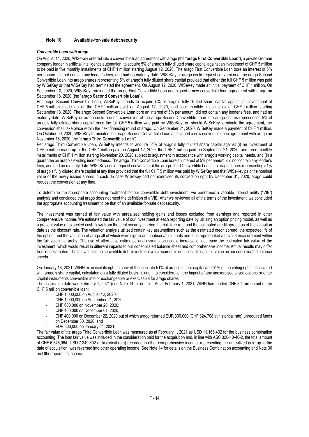## **Note 10. Available-for-sale debt security**

#### *Convertible Loan with arago*

On August 11, 2020, WISeKey entered into a convertible loan agreement with arago (the "**arago First Convertible Loan**"), a private German company leader in artificial intelligence automation, to acquire 5% of arago's fully diluted share capital against an investment of CHF 5 million to be paid in five monthly installments of CHF 1 million starting August 12, 2020. The arago First Convertible Loan bore an interest of 5% per annum, did not contain any lender's fees, and had no maturity date. WISeKey or arago could request conversion of the arago Second Convertible Loan into arago shares representing 5% of arago's fully diluted share capital provided that either the full CHF 5 million was paid by WISeKey or that WISeKey had terminated the agreement. On August 12, 2020, WISeKey made an initial payment of CHF 1 million. On September 10, 2020, WISeKey terminated the arago First Convertible Loan and signed a new convertible loan agreement with arago on September 18, 2020 (the "**arago Second Convertible Loan**").

Per arago Second Convertible Loan, WISeKey intends to acquire 5% of arago's fully diluted share capital against an investment of CHF 5 million made up of the CHF 1 million paid on August 12, 2020, and four monthly installments of CHF 1 million starting September 18, 2020. The arago Second Convertible Loan bore an interest of 5% per annum, did not contain any lender's fees, and had no maturity date. WISeKey or arago could request conversion of the arago Second Convertible Loan into arago shares representing 5% of arago's fully diluted share capital once the full CHF 5 million was paid by WISeKey, or, should WISeKey terminate the agreement, the conversion shall take place within the next financing round of arago. On September 21, 2020, WISeKey made a payment of CHF 1 million. On October 09, 2020, WISeKey terminated the arago Second Convertible Loan and signed a new convertible loan agreement with arago on November 18, 2020 (the "**arago Third Convertible Loan**").

Per arago Third Convertible Loan, WISeKey intends to acquire 51% of arago's fully diluted share capital against (i) an investment of CHF 5 million made up of the CHF 1 million paid on August 12, 2020, the CHF 1 million paid on September 21, 2020, and three monthly installments of CHF 1 million starting November 20, 2020 subject to adjustment in accordance with arago's working capital needs, and (ii) a guarantee on arago's existing indebtedness. The arago Third Convertible Loan bore an interest of 5% per annum, did not contain any lender's fees, and had no maturity date. WISeKey could request conversion of the arago Third Convertible Loan into arago shares representing 51% of arago's fully diluted share capital at any time provided that the full CHF 5 million was paid by WISeKey and that WISeKey paid the nominal value of the newly issued shares in cash. In case WISeKey had not exercised its conversion right by December 31, 2020, arago could request the conversion at any time.

To determine the appropriate accounting treatment for our convertible debt investment, we performed a variable interest entity ("VIE") analysis and concluded that arago does not meet the definition of a VIE. After we reviewed all of the terms of the investment, we concluded the appropriate accounting treatment to be that of an available-for-sale debt security.

The investment was carried at fair value with unrealized holding gains and losses excluded from earnings and reported in other comprehensive income. We estimated the fair value of our investment at each reporting date by utilizing an option pricing model, as well as a present value of expected cash flows from the debt security utilizing the risk-free rate and the estimated credit spread as of the valuation date as the discount rate. The valuation analysis utilized certain key assumptions such as the estimated credit spread, the expected life of the option, and the valuation of arago all of which were significant unobservable inputs and thus represented a Level 3 measurement within the fair value hierarchy. The use of alternative estimates and assumptions could increase or decrease the estimated fair value of the investment, which would result in different impacts to our consolidated balance sheet and comprehensive income. Actual results may differ from our estimates. The fair value of the convertible debt investment was recorded in debt securities, at fair value on our consolidated balance sheets.

On January 18, 2021, WIHN exercised its right to convert the loan into 51% of arago's share capital and 51% of the voting rights associated with arago's share capital, calculated on a fully diluted basis, taking into consideration the impact of any unexercised share options or other capital instruments convertible into or exchangeable or exercisable for arago shares.

The acquisition date was February 1, 2021 (see Note 14 for details). As at February 1, 2021, WIHN had funded CHF 3.4 million out of the CHF 5 million convertible loan:

- CHF 1,000,000 on August 12, 2020;
- CHF 1,000,000 on September 21, 2020;
- CHF 600,000 on November 20, 2020:
- CHF 400,000 on December 01, 2020;
- CHF 400,000 on December 22, 2020 out of which arago returned EUR 300,000 (CHF 324,708 at historical rate) unrequired funds on December 30, 2020; and
	- EUR 300,000 on January 04, 2021;

The fair value of the arago Third Convertible Loan was measured as at February 1, 2021 as USD 11,166,432 for the business combination accounting. The loan fair value was included in the consideration paid for the acquisition and, in line with ASC 320-10-40-2, the total amount of CHF 6,546,964 (USD 7,349,602 at historical rate) recorded in other comprehensive income, representing the unrealized gain up to the date of acquisition, was reversed into other operating income. See Note 14 for details on the Business Combination accounting and Note 30 on Other operating income.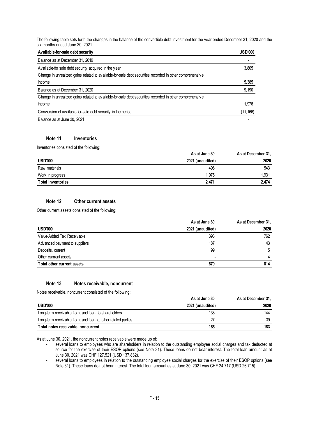The following table sets forth the changes in the balance of the convertible debt investment for the year ended December 31, 2020 and the six months ended June 30, 2021.

| Available-for-sale debt security                                                                         | <b>USD'000</b> |
|----------------------------------------------------------------------------------------------------------|----------------|
| Balance as at December 31, 2019                                                                          |                |
| Available-for sale debt security acquired in the year                                                    | 3,805          |
| Change in unrealized gains related to available-for-sale debt securities recorded in other comprehensive |                |
| income                                                                                                   | 5,385          |
| Balance as at December 31, 2020                                                                          | 9,190          |
| Change in unrealized gains related to available-for-sale debt securities recorded in other comprehensive |                |
| income                                                                                                   | 1,976          |
| Conversion of available-for-sale debt security in the period                                             | (11, 166)      |
| Balance as at June 30, 2021                                                                              |                |

## **Note 11. Inventories**

Inventories consisted of the following:

|                          | As at June 30,   | As at December 31, |
|--------------------------|------------------|--------------------|
| <b>USD'000</b>           | 2021 (unaudited) | 2020               |
| Raw materials            | 496              | 543                |
| Work in progress         | 1.975            | 1,931              |
| <b>Total inventories</b> | 2.471            | 2.474              |

## **Note 12. Other current assets**

Other current assets consisted of the following:

|                                 | As at June 30,   | As at December 31, |
|---------------------------------|------------------|--------------------|
| <b>USD'000</b>                  | 2021 (unaudited) | 2020               |
| Value-Added Tax Receivable      | 393              | 762                |
| Adv anced pay ment to suppliers | 187              | 43                 |
| Deposits, current               | 99               | 5                  |
| Other currrent assets           | ٠                | 4                  |
| Total other current assets      | 679              | 814                |

## **Note 13. Notes receivable, noncurrent**

Notes receivable, noncurrent consisted of the following:

|                                                               | As at June 30,   | As at December 31, |
|---------------------------------------------------------------|------------------|--------------------|
| <b>USD'000</b>                                                | 2021 (unaudited) | 2020               |
| Long-term receivable from, and loan, to shareholders          | 138              | 144                |
| Long-term receivable from, and loan to, other related parties | 27               | 39                 |
| Total notes receivable, noncurrent                            | 165              | 183                |

As at June 30, 2021, the noncurrent notes receivable were made up of:

- several loans to employees who are shareholders in relation to the outstanding employee social charges and tax deducted at source for the exercise of their ESOP options (see Note 31). These loans do not bear interest. The total loan amount as at June 30, 2021 was CHF 127,521 (USD 137,832).

several loans to employees in relation to the outstanding employee social charges for the exercise of their ESOP options (see Note 31). These loans do not bear interest. The total loan amount as at June 30, 2021 was CHF 24,717 (USD 26,715).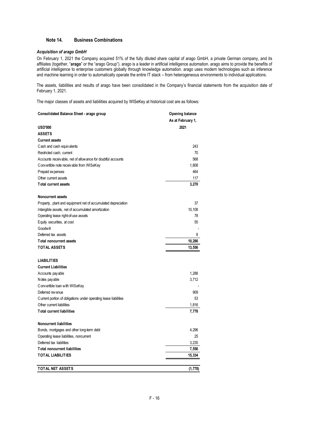## **Note 14. Business Combinations**

## *Acquisition of arago GmbH*

On February 1, 2021 the Company acquired 51% of the fully diluted share capital of arago GmbH, a private German company, and its affiliates (together, "**arago**" or the "arago Group"). arago is a leader in artificial intelligence automation. arago aims to provide the benefits of artificial intelligence to enterprise customers globally through knowledge automation. arago uses modern technologies such as inference and machine learning in order to automatically operate the entire IT stack – from heterogeneous environments to individual applications.

The assets, liabilities and results of arago have been consolidated in the Company's financial statements from the acquisition date of February 1, 2021.

The major classes of assets and liabilities acquired by WISeKey at historical cost are as follows:

| Consolidated Balance Sheet - arago group                         | Opening balance   |
|------------------------------------------------------------------|-------------------|
|                                                                  | As at February 1, |
| <b>USD'000</b>                                                   | 2021              |
| <b>ASSETS</b>                                                    |                   |
| <b>Current assets</b>                                            |                   |
| Cash and cash equivalents                                        | 243               |
| Restricted cash, current                                         | 70                |
| Accounts receivable, net of allowance for doubtful accounts      | 568               |
| Convertible note receivable from WISeKey                         | 1,808             |
| Prepaid expenses                                                 | 464               |
| Other current assets                                             | 117               |
| <b>Total current assets</b>                                      | 3,270             |
| <b>Noncurrent assets</b>                                         |                   |
| Property, plant and equipment net of accumulated depreciation    | 37                |
| Intangible assets, net of accumulated amortization               | 10,108            |
| Operating lease right-of-use assets                              | 78                |
| Equity securities, at cost                                       | 55                |
| Goodwill                                                         |                   |
| Deferred tax assets<br>Total noncurrent assets                   | 8                 |
|                                                                  | 10,286            |
| <b>TOTAL ASSETS</b>                                              | 13,556            |
| <b>LIABILITIES</b>                                               |                   |
| <b>Current Liabilities</b>                                       |                   |
| Accounts pay able                                                | 1,288             |
| Notes payable                                                    | 3,712             |
| Convertible Ioan with WISeKey                                    |                   |
| Deferred revenue                                                 | 909               |
| Current portion of obligations under operating lease liabilities | 53                |
| Other current liabilities                                        | 1,816             |
| <b>Total current liabilities</b>                                 | 7,778             |
| <b>Noncurrent liabilities</b>                                    |                   |
| Bonds, mortgages and other long-term debt                        | 4,296             |
| Operating lease liabilities, noncurrent                          | 25                |
| Deferred tax liabilities                                         | 3,235             |
| <b>Total noncurrent liabilities</b>                              | 7,556             |
| <b>TOTAL LIABILITIES</b>                                         | 15,334            |
| <b>TOTAL NET ASSETS</b>                                          | (1,778)           |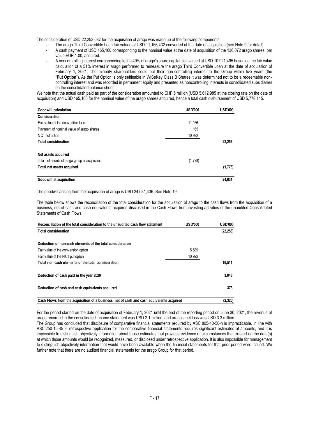The consideration of USD 22,253,087 for the acquisition of arago was made up of the following components:

- The arago Third Convertible Loan fair valued at USD 11,166,432 converted at the date of acquisition (see Note 9 for detail).
- A cash payment of USD 165,160 corresponding to the nominal value at the date of acquisition of the 136,072 arago shares, par value EUR 1.00, acquired.
- A noncontrolling interest corresponding to the 49% of arago's share capital, fair valued at USD 10,921,495 based on the fair value calculation of a 51% interest in arago performed to remeasure the arago Third Convertible Loan at the date of acquisition of February 1, 2021. The minority shareholders could put their non-controlling interest to the Group within five years (the "**Put Option**"). As the Put Option is only settleable in WISeKey Class B Shares it was determined not to be a redeemable noncontrolling interest and was recorded in permanent equity and presented as noncontrolling interests in consolidated subsidiaries on the consolidated balance sheet.

We note that the actual cash paid as part of the consideration amounted to CHF 5 million (USD 5,612,985 at the closing rate on the date of acquisition) and USD 165,160 for the nominal value of the arago shares acquired, hence a total cash disbursement of USD 5,778,145.

| Goodwill calculation                           | <b>USD'000</b> | <b>USD'000</b> |
|------------------------------------------------|----------------|----------------|
| Consideration                                  |                |                |
| Fair value of the convertible loan             | 11,166         |                |
| Payment of nominal value of arago shares       | 165            |                |
| NCI put option                                 | 10,922         |                |
| <b>Total consideration</b>                     |                | 22,253         |
| Net assets acquired                            |                |                |
| Total net assets of arago group at acquisition | (1,778)        |                |
| Total net assets acquired                      |                | (1,778)        |
| Goodwill at acquisition                        |                | 24.031         |

The goodwill arising from the acquisition of arago is USD 24,031,436. See Note 19.

The table below shows the reconciliation of the total consideration for the acquisition of arago to the cash flows from the acquisition of a business, net of cash and cash equivalents acquired disclosed in the Cash Flows from investing activities of the unaudited Consolidated Statements of Cash Flows.

| Reconciliation of the total consideration to the unaudited cash flow statement           | <b>USD'000</b> | <b>USD'000</b> |
|------------------------------------------------------------------------------------------|----------------|----------------|
| <b>Total consideration</b>                                                               |                | (22, 253)      |
| Deduction of non-cash elements of the total consideration                                |                |                |
| Fair value of the conversion option                                                      | 5.589          |                |
| Fair value of the NCI put option                                                         | 10,922         |                |
| Total non-cash elements of the total consideration                                       |                | 16,511         |
| Deduction of cash paid in the year 2020                                                  |                | 3,043          |
| Deduction of cash and cash equivalents acquired                                          |                | 373            |
| Cash Flows from the acquisition of a business, net of cash and cash equivalents acquired |                | (2, 326)       |

For the period started on the date of acquisition of February 1, 2021 until the end of the reporting period on June 30, 2021, the revenue of arago recorded in the consolidated income statement was USD 2.1 million, and arago's net loss was USD 3.3 million.

The Group has concluded that disclosure of comparative financial statements required by ASC 805-10-50-h is impracticable. In line with ASC 250-10-45-9, retrospective application for the comparative financial statements requires significant estimates of amounts, and it is impossible to distinguish objectively information about those estimates that provides evidence of circumstances that existed on the date(s) at which those amounts would be recognized, measured, or disclosed under retrospective application. It is also impossible for management to distinguish objectively information that would have been available when the financial statements for that prior period were issued. We further note that there are no audited financial statements for the arago Group for that period.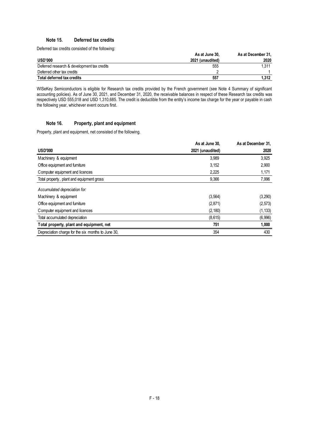## **Note 15. Deferred tax credits**

Deferred tax credits consisted of the following:

|                                             | As at June 30,   | As at December 31, |
|---------------------------------------------|------------------|--------------------|
| <b>USD'000</b>                              | 2021 (unaudited) | 2020               |
| Deferred research & development tax credits | 555              | 1.311              |
| Deferred other tax credits                  |                  |                    |
| Total deferred tax credits                  | 557              | 1.312              |

WISeKey Semiconductors is eligible for Research tax credits provided by the French government (see Note 4 Summary of significant accounting policies). As of June 30, 2021, and December 31, 2020, the receivable balances in respect of these Research tax credits was respectively USD 555,018 and USD 1,310,685. The credit is deductible from the entity's income tax charge for the year or payable in cash the following year, whichever event occurs first.

## **Note 16. Property, plant and equipment**

Property, plant and equipment, net consisted of the following.

|                                                    | As at June 30,   | As at December 31, |
|----------------------------------------------------|------------------|--------------------|
| <b>USD'000</b>                                     | 2021 (unaudited) | 2020               |
| Machinery & equipment                              | 3,989            | 3,925              |
| Office equipment and furniture                     | 3,152            | 2,900              |
| Computer equipment and licences                    | 2,225            | 1,171              |
| Total property, plant and equipment gross          | 9,366            | 7,996              |
| Accumulated depreciation for:                      |                  |                    |
| Machinery & equipment                              | (3, 564)         | (3, 290)           |
| Office equipment and furniture                     | (2, 871)         | (2, 573)           |
| Computer equipment and licences                    | (2, 180)         | (1, 133)           |
| Total accumulated depreciation                     | (8,615)          | (6,996)            |
| Total property, plant and equipment, net           | 751              | 1,000              |
| Depreciation charge for the six months to June 30, | 354              | 430                |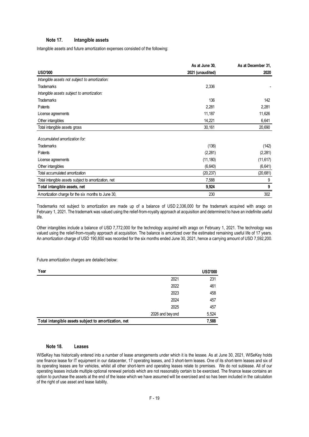## **Note 17. Intangible assets**

Intangible assets and future amortization expenses consisted of the following:

|                                                      | As at June 30,   | As at December 31, |
|------------------------------------------------------|------------------|--------------------|
| <b>USD'000</b>                                       | 2021 (unaudited) | 2020               |
| Intangible assets not subject to amortization:       |                  |                    |
| <b>Trademarks</b>                                    | 2,336            |                    |
| Intangible assets subject to amortization:           |                  |                    |
| <b>Trademarks</b>                                    | 136              | 142                |
| Patents                                              | 2,281            | 2,281              |
| License agreements                                   | 11,187           | 11,626             |
| Other intangibles                                    | 14,221           | 6,641              |
| Total intangible assets gross                        | 30,161           | 20,690             |
| Accumulated amortization for:                        |                  |                    |
| <b>Trademarks</b>                                    | (136)            | (142)              |
| Patents                                              | (2, 281)         | (2, 281)           |
| License agreements                                   | (11, 180)        | (11, 617)          |
| Other intangibles                                    | (6, 640)         | (6, 641)           |
| Total accumulated amortization                       | (20, 237)        | (20, 681)          |
| Total intangible assets subject to amortization, net | 7,588            | 9                  |
| Total intangible assets, net                         | 9,924            | 9                  |
| Amortization charge for the six months to June 30,   | 230              | 302                |

Trademarks not subject to amortization are made up of a balance of USD 2,336,000 for the trademark acquired with arago on February 1, 2021. The trademark was valued using the relief-from-royalty approach at acquisition and determined to have an indefinite useful life.

Other intangibles include a balance of USD 7,772,000 for the technology acquired with arago on February 1, 2021. The technology was valued using the relief-from-royalty approach at acquisition. The balance is amortized over the estimated remaining useful life of 17 years. An amortization charge of USD 190,800 was recorded for the six months ended June 30, 2021, hence a carrying amount of USD 7,592,200.

Future amortization charges are detailed below:

| Year                                                 |                 | <b>USD'000</b> |
|------------------------------------------------------|-----------------|----------------|
|                                                      | 2021            | 231            |
|                                                      | 2022            | 461            |
|                                                      | 2023            | 458            |
|                                                      | 2024            | 457            |
|                                                      | 2025            | 457            |
|                                                      | 2026 and beyond | 5,524          |
| Total intangible assets subject to amortization, net |                 | 7,588          |

## **Note 18. Leases**

WISeKey has historically entered into a number of lease arrangements under which it is the lessee. As at June 30, 2021, WISeKey holds one finance lease for IT equipment in our datacenter, 17 operating leases, and 3 short-term leases. One of its short-term leases and six of its operating leases are for vehicles, whilst all other short-term and operating leases relate to premises. We do not sublease. All of our operating leases include multiple optional renewal periods which are not reasonably certain to be exercised. The finance lease contains an option to purchase the assets at the end of the lease which we have assumed will be exercised and so has been included in the calculation of the right of use asset and lease liability.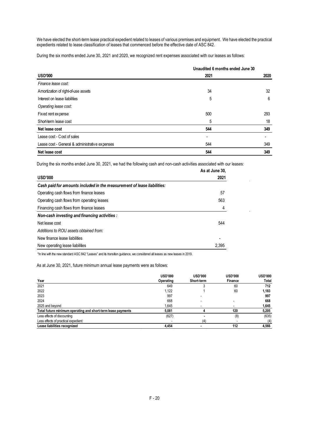We have elected the short-term lease practical expedient related to leases of various premises and equipment. We have elected the practical expedients related to lease classification of leases that commenced before the effective date of ASC 842.

During the six months ended June 30, 2021 and 2020, we recognized rent expenses associated with our leases as follows:

|                                                | Unaudited 6 months ended June 30 |      |
|------------------------------------------------|----------------------------------|------|
| <b>USD'000</b>                                 | 2021                             | 2020 |
| Finance lease cost:                            |                                  |      |
| Amortization of right-of-use assets            | 34                               | 32   |
| Interest on lease liabilities                  | 5                                | 6    |
| Operating lease cost:                          |                                  |      |
| Fixed rent expense                             | 500                              | 293  |
| Short-term lease cost                          | 5                                | 18   |
| Net lease cost                                 | 544                              | 349  |
| Lease cost - Cost of sales                     | ۰                                |      |
| Lease cost - General & administrative expenses | 544                              | 349  |
| Net lease cost                                 | 544                              | 349  |

 $\ddot{\phantom{a}}$ 

During the six months ended June 30, 2021, we had the following cash and non-cash activities associated with our leases:

| As at June 30. |
|----------------|
| 2021           |
|                |
| 57             |
| 563            |
| 4              |
|                |
| 544            |
|                |
|                |
| 2,395          |
|                |

\*In line with the new standard ASC 842 "Leases" and its transition guidance, we considered all leases as new leases in 2019.

As at June 30, 2021, future minimum annual lease payments were as follows:

|                                                              | <b>USD'000</b> | <b>USD'000</b> | <b>USD'000</b> | <b>USD'000</b> |
|--------------------------------------------------------------|----------------|----------------|----------------|----------------|
| Year                                                         | Operating      | Short-term     | Finance        | Total          |
| 2021                                                         | 649            |                | 60             | 712            |
| 2022                                                         | 1,122          |                | 60             | 1,183          |
| 2023                                                         | 997            |                |                | 997            |
| 2024                                                         | 668            |                |                | 668            |
| 2025 and beyond                                              | 1,645          |                |                | 1,645          |
| Total future minimum operating and short-term lease payments | 5.081          |                | 120            | 5,205          |
| Less effects of discounting                                  | (627)          |                | (8)            | (635)          |
| Less effects of practical expedient                          |                | (4)            |                | (4)            |
| Lease liabilities recognized                                 | 4.454          |                | 112            | 4,566          |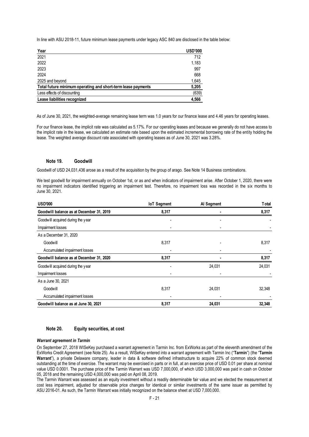In line with ASU 2018-11, future minimum lease payments under legacy ASC 840 are disclosed in the table below:

| Year                                                         | <b>USD'000</b> |
|--------------------------------------------------------------|----------------|
| 2021                                                         | 712            |
| 2022                                                         | 1,183          |
| 2023                                                         | 997            |
| 2024                                                         | 668            |
| 2025 and beyond                                              | 1,645          |
| Total future minimum operating and short-term lease payments | 5,205          |
| Less effects of discounting                                  | (639)          |
| Lease liabilities recognized                                 | 4,566          |

As of June 30, 2021, the weighted-average remaining lease term was 1.0 years for our finance lease and 4.46 years for operating leases.

For our finance lease, the implicit rate was calculated as 5.17%. For our operating leases and because we generally do not have access to the implicit rate in the lease, we calculated an estimate rate based upon the estimated incremental borrowing rate of the entity holding the lease. The weighted average discount rate associated with operating leases as of June 30, 2021 was 3.28%.

## **Note 19. Goodwill**

Goodwill of USD 24,031,436 arose as a result of the acquisition by the group of arago. See Note 14 Business combinations.

We test goodwill for impairment annually on October 1st, or as and when indicators of impairment arise. After October 1, 2020, there were no impairment indicators identified triggering an impairment test. Therefore, no impairment loss was recorded in the six months to June 30, 2021.

| <b>USD'000</b>                           | <b>IoT Segment</b> | <b>T</b> otal<br>Al Segment |        |
|------------------------------------------|--------------------|-----------------------------|--------|
| Goodwill balance as at December 31, 2019 | 8,317              |                             | 8,317  |
| Goodwill acquired during the year        |                    |                             |        |
| Impairment losses                        |                    | ۰                           |        |
| As a December 31, 2020                   |                    |                             |        |
| Goodwill                                 | 8,317              |                             | 8,317  |
| Accumulated impairment losses            |                    | ۰                           |        |
| Goodwill balance as at December 31, 2020 | 8,317              |                             | 8,317  |
| Goodwill acquired during the year        |                    | 24,031                      | 24,031 |
| Impairment losses                        |                    |                             |        |
| As a June 30, 2021                       |                    |                             |        |
| Goodwill                                 | 8,317              | 24,031                      | 32,348 |
| Accumulated impairment losses            |                    |                             |        |
| Goodwill balance as at June 30, 2021     | 8,317              | 24,031                      | 32,348 |

#### **Note 20. Equity securities, at cost**

#### *Warrant agreement in Tarmin*

On September 27, 2018 WISeKey purchased a warrant agreement in Tarmin Inc. from ExWorks as part of the eleventh amendment of the ExWorks Credit Agreement (see Note 25). As a result, WISeKey entered into a warrant agreement with Tarmin Inc ("**Tarmin**") (the "**Tarmin Warrant**"), a private Delaware company, leader in data & software defined infrastructure to acquire 22% of common stock deemed outstanding at the time of exercise. The warrant may be exercised in parts or in full, at an exercise price of USD 0.01 per share at nominal value USD 0.0001. The purchase price of the Tarmin Warrant was USD 7,000,000, of which USD 3,000,000 was paid in cash on October 05, 2018 and the remaining USD 4,000,000 was paid on April 08, 2019.

The Tarmin Warrant was assessed as an equity investment without a readily determinable fair value and we elected the measurement at cost less impairment, adjusted for observable price changes for identical or similar investments of the same issuer as permitted by ASU 2016-01. As such, the Tarmin Warrant was initially recognized on the balance sheet at USD 7,000,000.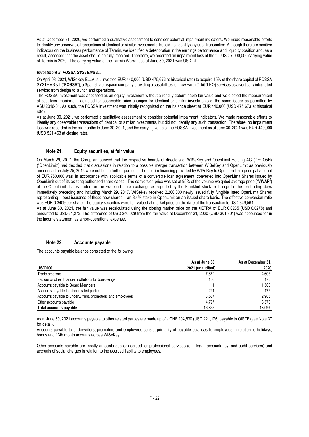As at December 31, 2020, we performed a qualitative assessment to consider potential impairment indicators. We made reasonable efforts to identify any observable transactions of identical or similar investments, but did not identify any such transaction. Although there are positive indicators on the business performance of Tarmin, we identified a deterioration in the earnings performance and liquidity position and, as a result, assessed that the asset should be fully impaired. Therefore, we recorded an impairment loss of the full USD 7,000,000 carrying value of Tarmin in 2020. The carrying value of the Tarmin Warrant as at June 30, 2021 was USD nil.

#### *Investment in FOSSA SYSTEMS s.l.*

On April 08, 2021, WISeKey E.L.A. s.l. invested EUR 440,000 (USD 475,673 at historical rate) to acquire 15% of the share capital of FOSSA SYSTEMS s.l. ("**FOSSA**"), a Spanish aerospace company providing picosatellites for Low Earth Orbit (LEO) services as a vertically integrated service: from design to launch and operations.

The FOSSA investment was assessed as an equity investment without a readily determinable fair value and we elected the measurement at cost less impairment, adjusted for observable price changes for identical or similar investments of the same issuer as permitted by ASU 2016-01. As such, the FOSSA investment was initially recognized on the balance sheet at EUR 440,000 (USD 475,673 at historical rate).

As at June 30, 2021, we performed a qualitative assessment to consider potential impairment indicators. We made reasonable efforts to identify any observable transactions of identical or similar investments, but did not identify any such transaction. Therefore, no impairment loss was recorded in the six months to June 30, 2021, and the carrying value of the FOSSA investment as at June 30, 2021 was EUR 440,000 (USD 521,463 at closing rate).

## **Note 21. Equity securities, at fair value**

On March 29, 2017, the Group announced that the respective boards of directors of WISeKey and OpenLimit Holding AG (DE: O5H) ("OpenLimit") had decided that discussions in relation to a possible merger transaction between WISeKey and OpenLimit as previously announced on July 25, 2016 were not being further pursued. The interim financing provided by WISeKey to OpenLimit in a principal amount of EUR 750,000 was, in accordance with applicable terms of a convertible loan agreement, converted into OpenLimit Shares issued by OpenLimit out of its existing authorized share capital. The conversion price was set at 95% of the volume weighted average price ("**VWAP**") of the OpenLimit shares traded on the Frankfurt stock exchange as reported by the Frankfurt stock exchange for the ten trading days immediately preceding and including March 29, 2017. WISeKey received 2,200,000 newly issued fully fungible listed OpenLimit Shares representing – post issuance of these new shares – an 8.4% stake in OpenLimit on an issued share basis. The effective conversion ratio was EUR 0.3409 per share. The equity securities were fair valued at market price on the date of the transaction to USD 846,561.

As at June 30, 2021, the fair value was recalculated using the closing market price on the XETRA of EUR 0.0235 (USD 0.0278) and amounted to USD 61,272. The difference of USD 240,029 from the fair value at December 31, 2020 (USD 301,301) was accounted for in the income statement as a non-operational expense.

## **Note 22. Accounts payable**

The accounts payable balance consisted of the following:

|                                                            | As at June 30,   | As at December 31, |
|------------------------------------------------------------|------------------|--------------------|
| <b>USD'000</b>                                             | 2021 (unaudited) | 2020               |
| Trade creditors                                            | 7.672            | 4.608              |
| Factors or other financial institutions for borrowings     | 108              | 178                |
| Accounts payable to Board Members                          |                  | 1.580              |
| Accounts payable to other related parties                  | 221              | 172                |
| Accounts payable to underwriters, promoters, and employees | 3.567            | 2.985              |
| Other accounts payable                                     | 4.797            | 3.576              |
| <b>Total accounts payable</b>                              | 16.366           | 13,099             |

As at June 30, 2021 accounts payable to other related parties are made up of a CHF 204,630 (USD 221,176) payable to OISTE (see Note 37 for detail).

Accounts payable to underwriters, promoters and employees consist primarily of payable balances to employees in relation to holidays, bonus and 13th month accruals across WISeKey.

Other accounts payable are mostly amounts due or accrued for professional services (e.g. legal, accountancy, and audit services) and accruals of social charges in relation to the accrued liability to employees.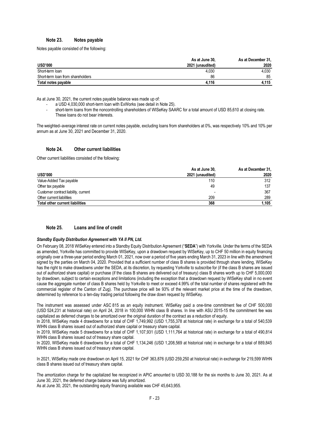## **Note 23. Notes payable**

Notes payable consisted of the following:

|                                   | As at June 30,   | As at December 31, |
|-----------------------------------|------------------|--------------------|
| <b>USD'000</b>                    | 2021 (unaudited) | 2020               |
| Short-term loan                   | 4.030            | 4.030              |
| Short-term loan from shareholders | 86               | 85                 |
| Total notes payable               | 4.116            | 4.115              |

As at June 30, 2021, the current notes payable balance was made up of:

- a USD 4,030,000 short-term loan with ExWorks (see detail in Note 25).
- short-term loans from the noncontrolling shareholders of WISeKey SAARC for a total amount of USD 85,610 at closing rate. These loans do not bear interests.

The weighted–average interest rate on current notes payable, excluding loans from shareholders at 0%, was respectively 10% and 10% per annum as at June 30, 2021 and December 31, 2020.

## **Note 24. Other current liabilities**

Other current liabilities consisted of the following:

|                                        | As at June 30,   | As at December 31, |
|----------------------------------------|------------------|--------------------|
| <b>USD'000</b>                         | 2021 (unaudited) | 2020               |
| Value-Added Tax payable                | 110              | 312                |
| Other tax payable                      | 49               | 137                |
| Customer contract liability, current   | -                | 367                |
| Other current liabilities              | 209              | 289                |
| <b>Total other current liabilities</b> | 368              | 1.105              |

## **Note 25. Loans and line of credit**

#### *Standby Equity Distribution Agreement with YA II PN, Ltd.*

On February 08, 2018 WISeKey entered into a Standby Equity Distribution Agreement ("**SEDA**") with Yorkville. Under the terms of the SEDA as amended, Yorkville has committed to provide WISeKey, upon a drawdown request by WISeKey, up to CHF 50 million in equity financing originally over a three-year period ending March 01, 2021, now over a period of five years ending March 31, 2023 in line with the amendment signed by the parties on March 04, 2020. Provided that a sufficient number of class B shares is provided through share lending. WISeKey has the right to make drawdowns under the SEDA, at its discretion, by requesting Yorkville to subscribe for (if the class B shares are issued out of authorized share capital) or purchase (if the class B shares are delivered out of treasury) class B shares worth up to CHF 5,000,000 by drawdown, subject to certain exceptions and limitations (including the exception that a drawdown request by WISeKey shall in no event cause the aggregate number of class B shares held by Yorkville to meet or exceed 4.99% of the total number of shares registered with the commercial register of the Canton of Zug). The purchase price will be 93% of the relevant market price at the time of the drawdown, determined by reference to a ten-day trading period following the draw down request by WISeKey.

The instrument was assessed under ASC 815 as an equity instrument. WISeKey paid a one-time commitment fee of CHF 500,000 (USD 524,231 at historical rate) on April 24, 2018 in 100,000 WIHN class B shares. In line with ASU 2015-15 the commitment fee was capitalized as deferred charges to be amortized over the original duration of the contract as a reduction of equity.

In 2018, WISeKey made 4 drawdowns for a total of CHF 1,749,992 (USD 1,755,378 at historical rate) in exchange for a total of 540,539 WIHN class B shares issued out of authorized share capital or treasury share capital.

In 2019, WISeKey made 5 drawdowns for a total of CHF 1,107,931 (USD 1,111,764 at historical rate) in exchange for a total of 490,814 WIHN class B shares issued out of treasury share capital.

In 2020, WISeKey made 6 drawdowns for a total of CHF 1,134,246 (USD 1,208,569 at historical rate) in exchange for a total of 889,845 WIHN class B shares issued out of treasury share capital.

In 2021, WISeKey made one drawdown on April 15, 2021 for CHF 363,876 (USD 259,250 at historical rate) in exchange for 219,599 WIHN class B shares issued out of treasury share capital.

The amortization charge for the capitalized fee recognized in APIC amounted to USD 30,188 for the six months to June 30, 2021. As at June 30, 2021, the deferred charge balance was fully amortized. As at June 30, 2021, the outstanding equity financing available was CHF 45,643,955.

F - 23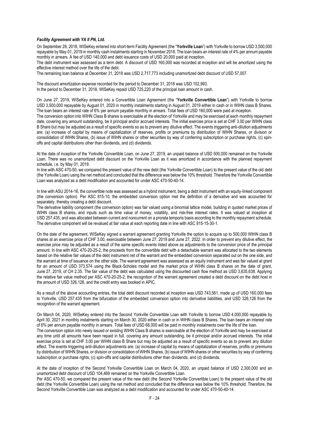#### *Facility Agreement with YA II PN, Ltd.*

On September 28, 2018, WISeKey entered into short-term Facility Agreement (the "**Yorkville Loan**") with Yorkville to borrow USD 3,500,000 repayable by May 01, 2019 in monthly cash instalments starting in November 2018. The loan bears an interest rate of 4% per annum payable monthly in arrears. A fee of USD 140,000 and debt issuance costs of USD 20,000 paid at inception.

The debt instrument was assessed as a term debt. A discount of USD 160,000 was recorded at inception and will be amortized using the effective interest method over the life of the debt.

The remaining loan balance at December 31, 2018 was USD 2,717,773 including unamortized debt discount of USD 57,007.

The discount amortization expense recorded for the period to December 31, 2018 was USD 102,993. In the period to December 31, 2018, WISeKey repaid USD 725,220 of the principal loan amount in cash.

On June 27, 2019, WISeKey entered into a Convertible Loan Agreement (the "**Yorkville Convertible Loan**") with Yorkville to borrow USD 3,500,000 repayable by August 01, 2020 in monthly instalments starting in August 01, 2019 either in cash or in WIHN class B Shares. The loan bears an interest rate of 6% per annum payable monthly in arrears. Total fees of USD 160,000 were paid at inception.

The conversion option into WIHN Class B shares is exercisable at the election of Yorkville and may be exercised at each monthly repayment date, covering any amount outstanding, be it principal and/or accrued interests. The initial exercise price is set at CHF 3.00 per WIHN class B Share but may be adjusted as a result of specific events so as to prevent any dilutive effect. The events triggering anti-dilution adjustments are: (a) increase of capital by means of capitalization of reserves, profits or premiums by distribution of WIHN Shares, or division or consolidation of WIHN Shares, (b) issue of WIHN shares or other securities by way of conferring subscription or purchase rights, (c) spinoffs and capital distributions other than dividends, and (d) dividends.

At the date of inception of the Yorkville Convertible Loan, on June 27, 2019, an unpaid balance of USD 500,000 remained on the Yorkville Loan. There was no unamortized debt discount on the Yorkville Loan as it was amortized in accordance with the planned repayment schedule, i.e. by May 01, 2019.

In line with ASC 470-50, we compared the present value of the new debt (the Yorkville Convertible Loan) to the present value of the old debt (the Yorkville Loan) using the net method and concluded that the difference was below the 10% threshold. Therefore the Yorkville Convertible Loan was analyzed as a debt modification and accounted for under ASC 470-50-40-14.

In line with ASU 2014-16, the convertible note was assessed as a hybrid instrument, being a debt instrument with an equity-linked component (the conversion option). Per ASC 815-10, the embedded conversion option met the definition of a derivative and was accounted for separately, thereby creating a debt discount.

The derivative liability component (the conversion option) was fair valued using a binomial lattice model, building in quoted market prices of WIHN class B shares, and inputs such as time value of money, volatility, and risk-free interest rates. It was valued at inception at USD 257,435, and was allocated between current and noncurrent on a prorata temporis basis according to the monthly repayment schedule. The derivative component will be revalued at fair value at each reporting date in line with ASC 815-15-30-1.

On the date of the agreement, WISeKey signed a warrant agreement granting Yorkville the option to acquire up to 500,000 WIHN class B shares at an exercise price of CHF 3.00, exercisable between June 27, 2019 and June 27, 2022. In order to prevent any dilutive effect, the exercise price may be adjusted as a result of the same specific events listed above as adjustments to the conversion price of the principal amount. In line with ASC 470-20-25-2, the proceeds from the convertible debt with a detachable warrant was allocated to the two elements based on the relative fair values of the debt instrument net of the warrant and the embedded conversion separated out on the one side, and the warrant at time of issuance on the other side. The warrant agreement was assessed as an equity instrument and was fair valued at grant for an amount of USD 373,574 using the Black-Scholes model and the market price of WIHN class B shares on the date of grant, June 27, 2019, of CH 2.35. The fair value of the debt was calculated using the discounted cash flow method as USD 3,635,638. Applying the relative fair value method per ASC 470-20-25-2, the recognition of the warrant agreement created a debt discount on the debt host in the amount of USD 326,126, and the credit entry was booked in APIC.

As a result of the above accounting entries, the total debt discount recorded at inception was USD 743,561, made up of USD 160,000 fees to Yorkville, USD 257,435 from the bifurcation of the embedded conversion option into derivative liabilities, and USD 326,126 from the recognition of the warrant agreement.

On March 04, 2020, WISeKey entered into the Second Yorkville Convertible Loan with Yorkville to borrow USD 4,000,000 repayable by April 30, 2021 in monthly instalments starting on March 30, 2020 either in cash or in WIHN class B Shares. The loan bears an interest rate of 6% per annum payable monthly in arrears. Total fees of USD 68,000 will be paid in monthly instalments over the life of the loan. The conversion option into newly issued or existing WIHN Class B shares is exercisable at the election of Yorkville and may be exercised at any time until all amounts have been repaid in full, covering any amount outstanding, be it principal and/or accrued interests. The initial exercise price is set at CHF 3.00 per WIHN class B Share but may be adjusted as a result of specific events so as to prevent any dilution effect. The events triggering anti-dilution adjustments are: (a) increase of capital by means of capitalization of reserves, profits or premiums by distribution of WIHN Shares, or division or consolidation of WIHN Shares, (b) issue of WIHN shares or other securities by way of conferring subscription or purchase rights, (c) spin-offs and capital distributions other than dividends, and (d) dividends.

At the date of inception of the Second Yorkville Convertible Loan on March 04, 2020, an unpaid balance of USD 2,300,000 and an unamortized debt discount of USD 104,469 remained on the Yorkville Convertible Loan.

Per ASC 470-50, we compared the present value of the new debt (the Second Yorkville Convertible Loan) to the present value of the old debt (the Yorkville Convertible Loan) using the net method and concluded that the difference was below the 10% threshold. Therefore, the Second Yorkville Convertible Loan was analyzed as a debt modification and accounted for under ASC 470-50-40-14.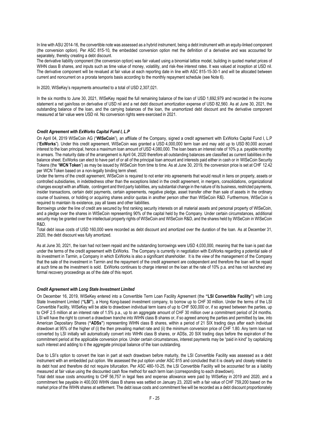In line with ASU 2014-16, the convertible note was assessed as a hybrid instrument, being a debt instrument with an equity-linked component (the conversion option). Per ASC 815-10, the embedded conversion option met the definition of a derivative and was accounted for separately, thereby creating a debt discount.

The derivative liability component (the conversion option) was fair valued using a binomial lattice model, building in quoted market prices of WIHN class B shares, and inputs such as time value of money, volatility, and risk-free interest rates. It was valued at inception at USD nil. The derivative component will be revalued at fair value at each reporting date in line with ASC 815-15-30-1 and will be allocated between current and noncurrent on a prorata temporis basis according to the monthly repayment schedule (see Note 6).

In 2020, WISeKey's repayments amounted to a total of USD 2,307,021.

In the six months to June 30, 2021, WISeKey repaid the full remaining balance of the loan of USD 1,692,979 and recorded in the income statement a net gain/loss on derivative of USD nil and a net debt discount amortization expense of USD 82,560. As at June 30, 2021, the outstanding balance of the loan, and the carrying balances of the loan, the unamortized debt discount and the derivative component measured at fair value were USD nil. No conversion rights were exercised in 2021.

#### *Credit Agreement with ExWorks Capital Fund I, L.P*

On April 04, 2019 WISeCoin AG ("**WISeCoin**"), an affiliate of the Company, signed a credit agreement with ExWorks Capital Fund I, L.P ("**ExWorks**"). Under this credit agreement, WISeCoin was granted a USD 4,000,000 term loan and may add up to USD 80,000 accrued interest to the loan principal, hence a maximum loan amount of USD 4,080,000. The loan bears an interest rate of 10% p.a. payable monthly in arrears. The maturity date of the arrangement is April 04, 2020 therefore all outstanding balances are classified as current liabilities in the balance sheet. ExWorks can elect to have part of or all of the principal loan amount and interests paid either in cash or in WISeCoin Security Tokens (the "**WCN Token**") as may be issued by WISeCoin from time to time. As at June 30, 2019, the conversion price is set at CHF 12.42 per WCN Token based on a non-legally binding term sheet.

Under the terms of the credit agreement, WISeCoin is required to not enter into agreements that would result in liens on property, assets or controlled subsidiaries, in indebtedness other than the exceptions listed in the credit agreement, in mergers, consolidations, organizational changes except with an affiliate, contingent and third party liabilities, any substantial change in the nature of its business, restricted payments, insider transactions, certain debt payments, certain agreements, negative pledge, asset transfer other than sale of assets in the ordinary course of business, or holding or acquiring shares and/or quotas in another person other than WISeCoin R&D. Furthermore, WISeCoin is required to maintain its existence, pay all taxes and other liabilities.

Borrowings under the line of credit are secured by first ranking security interests on all material assets and personal property of WISeCoin, and a pledge over the shares in WISeCoin representing 90% of the capital held by the Company. Under certain circumstances, additional security may be granted over the intellectual property rights of WISeCoin and WISeCoin R&D, and the shares held by WISeCoin in WISeCoin R&D.

Total debt issue costs of USD 160,000 were recorded as debt discount and amortized over the duration of the loan. As at December 31, 2020, the debt discount was fully amortized.

As at June 30, 2021, the loan had not been repaid and the outstanding borrowings were USD 4,030,000, meaning that the loan is past due under the terms of the credit agreement with ExWorks. The Company is currently in negotiation with ExWorks regarding a potential sale of its investment in Tarmin, a Company in which ExWorks is also a significant shareholder. It is the view of the management of the Company that the sale of the investment in Tarmin and the repayment of the credit agreement are codependent and therefore the loan will be repaid at such time as the investment is sold. ExWorks continues to charge interest on the loan at the rate of 10% p.a. and has not launched any formal recovery proceedings as of the date of this report.

#### *Credit Agreement with Long State Investment Limited*

On December 16, 2019, WISeKey entered into a Convertible Term Loan Facility Agreement (the **"LSI Convertible Facility"**) with Long State Investment Limited (**"LSI"**), a Hong Kong-based investment company, to borrow up to CHF 30 million. Under the terms of the LSI Convertible Facility, WISeKey will be able to drawdown individual term loans of up to CHF 500,000 or, if so agreed between the parties, up to CHF 2.5 million at an interest rate of 1.5% p.a., up to an aggregate amount of CHF 30 million over a commitment period of 24 months. LSI will have the right to convert a drawdown tranche into WIHN class B shares or, if so agreed among the parties and permitted by law, into American Depositary Shares (**"ADSs"**) representing WIHN class B shares, within a period of 21 SIX trading days after each individual drawdown at 95% of the higher of (i) the then prevailing market rate and (ii) the minimum conversion price of CHF 1.80. Any term loan not converted by LSI initially will automatically convert into WIHN class B shares, or ADSs, 20 SIX trading days before the expiration of the commitment period at the applicable conversion price. Under certain circumstances, interest payments may be "paid in kind" by capitalizing such interest and adding to it the aggregate principal balance of the loan outstanding.

Due to LSI's option to convert the loan in part at each drawdown before maturity, the LSI Convertible Facility was assessed as a debt instrument with an embedded put option. We assessed the put option under ASC 815 and concluded that it is clearly and closely related to its debt host and therefore did not require bifurcation. Per ASC 480-10-25, the LSI Convertible Facility will be accounted for as a liability measured at fair value using the discounted cash flow method for each term loan (corresponding to each drawdown).

Total debt issue costs amounting to CHF 56,757 in legal fees and expense allowance were paid by WISeKey in 2019 and 2020, and a commitment fee payable in 400,000 WIHN class B shares was settled on January 23, 2020 with a fair value of CHF 759,200 based on the market price of the WIHN shares at settlement. The debt issue costs and commitment fee will be recorded as a debt discount proportionately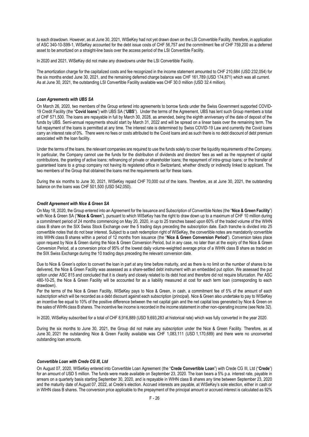to each drawdown. However, as at June 30, 2021, WISeKey had not yet drawn down on the LSI Convertible Facility, therefore, in application of ASC 340-10-S99-1, WISeKey accounted for the debt issue costs of CHF 56,757 and the commitment fee of CHF 759,200 as a deferred asset to be amortized on a straight-line basis over the access period of the LSI Convertible Facility.

In 2020 and 2021, WISeKey did not make any drawdowns under the LSI Convertible Facility.

The amortization charge for the capitalized costs and fee recognized in the income statement amounted to CHF 210,684 (USD 232,054) for the six months ended June 30, 2021, and the remaining deferred charge balance was CHF 161,789 (USD 174,871) which was all current. As at June 30, 2021, the outstanding LSI Convertible Facility available was CHF 30.0 million (USD 32.4 million).

## *Loan Agreements with UBS SA*

On March 26, 2020, two members of the Group entered into agreements to borrow funds under the Swiss Government supported COVID-19 Credit Facility (the "**Covid loans**") with UBS SA ("**UBS**"). Under the terms of the Agreement, UBS has lent such Group members a total of CHF 571,500. The loans are repayable in full by March 30, 2028, as amended, being the eighth anniversary of the date of deposit of the funds by UBS. Semi-annual repayments should start by March 31, 2022 and will be spread on a linear basis over the remaining term. The full repayment of the loans is permitted at any time. The interest rate is determined by Swiss COVID-19 Law and currently the Covid loans carry an interest rate of 0%. There were no fees or costs attributed to the Covid loans and as such there is no debt discount of debt premium associated with the loan facility.

Under the terms of the loans, the relevant companies are required to use the funds solely to cover the liquidity requirements of the Company. In particular, the Company cannot use the funds for the distribution of dividends and directors' fees as well as the repayment of capital contributions, the granting of active loans; refinancing of private or shareholder loans; the repayment of intra-group loans; or the transfer of guaranteed loans to a group company not having its registered office in Switzerland, whether directly or indirectly linked to applicant. The two members of the Group that obtained the loans met the requirements set for these loans.

During the six months to June 30, 2021, WISeKey repaid CHF 70,000 out of the loans. Therefore, as at June 30, 2021, the outstanding balance on the loans was CHF 501,500 (USD 542,050).

#### *Credit Agreement with Nice & Green SA*

On May 18, 2020, the Group entered into an Agreement for the Issuance and Subscription of Convertible Notes (the "**Nice & Green Facility**") with Nice & Green SA ("**Nice & Green**"), pursuant to which WISeKey has the right to draw down up to a maximum of CHF 10 million during a commitment period of 24 months commencing on May 20, 2020, in up to 25 tranches based upon 60% of the traded volume of the WIHN class B share on the SIX Swiss Stock Exchange over the 5 trading days preceding the subscription date. Each tranche is divided into 25 convertible notes that do not bear interest. Subject to a cash redemption right of WISeKey, the convertible notes are mandatorily convertible into WIHN class B shares within a period of 12 months from issuance (the "**Nice & Green Conversion Period**"). Conversion takes place upon request by Nice & Green during the Nice & Green Conversion Period, but in any case, no later than at the expiry of the Nice & Green Conversion Period, at a conversion price of 95% of the lowest daily volume-weighted average price of a WIHN class B share as traded on the SIX Swiss Exchange during the 10 trading days preceding the relevant conversion date.

Due to Nice & Green's option to convert the loan in part at any time before maturity, and as there is no limit on the number of shares to be delivered, the Nice & Green Facility was assessed as a share-settled debt instrument with an embedded put option. We assessed the put option under ASC 815 and concluded that it is clearly and closely related to its debt host and therefore did not require bifurcation. Per ASC 480-10-25, the Nice & Green Facility will be accounted for as a liability measured at cost for each term loan (corresponding to each drawdown).

Per the terms of the Nice & Green Facility, WISeKey pays to Nice & Green, in cash, a commitment fee of 5% of the amount of each subscription which will be recorded as a debt discount against each subscription (principal). Nice & Green also undertake to pay to WISeKey an incentive fee equal to 10% of the positive difference between the net capital gain and the net capital loss generated by Nice & Green on the sales of WIHN class B shares. The incentive fee income is recorded in the income statement in other non-operating income (see Note 32).

In 2020, WISeKey subscribed for a total of CHF 8,916,889 (USD 9,693,283 at historical rate) which was fully converted in the year 2020.

During the six months to June 30, 2021, the Group did not make any subscription under the Nice & Green Facility. Therefore, as at June 30, 2021 the outstanding Nice & Green Facility available was CHF 1,083,111 (USD 1,170,689) and there were no unconverted outstanding loan amounts.

#### *Convertible Loan with Crede CG III, Ltd*

On August 07, 2020, WISeKey entered into Convertible Loan Agreement (the "**Crede Convertible Loan**") with Crede CG III, Ltd ("**Crede**") for an amount of USD 5 million. The funds were made available on September 23, 2020. The loan bears a 5% p.a. interest rate, payable in arrears on a quarterly basis starting September 30, 2020, and is repayable in WIHN class B shares any time between September 23, 2020 and the maturity date of August 07, 2022, at Crede's election. Accrued interests are payable, at WISeKey's sole election, either in cash or in WIHN class B shares. The conversion price applicable to the prepayment of the principal amount or accrued interest is calculated as 92%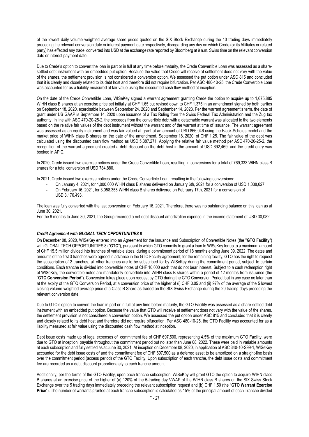of the lowest daily volume weighted average share prices quoted on the SIX Stock Exchange during the 10 trading days immediately preceding the relevant conversion date or interest payment date respectively, disregarding any day on which Crede (or its Affiliates or related party) has effected any trade, converted into USD at the exchange rate reported by Bloomberg at 9 a.m. Swiss time on the relevant conversion date or interest payment date.

Due to Crede's option to convert the loan in part or in full at any time before maturity, the Crede Convertible Loan was assessed as a sharesettled debt instrument with an embedded put option. Because the value that Crede will receive at settlement does not vary with the value of the shares, the settlement provision is not considered a conversion option. We assessed the put option under ASC 815 and concluded that it is clearly and closely related to its debt host and therefore did not require bifurcation. Per ASC 480-10-25, the Crede Convertible Loan was accounted for as a liability measured at fair value using the discounted cash flow method at inception.

On the date of the Crede Convertible Loan, WISeKey signed a warrant agreement granting Crede the option to acquire up to 1,675,885 WIHN class B shares at an exercise price set initially at CHF 1.65 but revised down to CHF 1.375 in an amendment signed by both parties on September 18, 2020, exercisable between September 24, 2020 and September 14, 2023. Per the warrant agreement's term, the date of grant under US GAAP is September 14, 2020 upon issuance of a Tax Ruling from the Swiss Federal Tax Administration and the Zug tax authority. In line with ASC 470-20-25-2, the proceeds from the convertible debt with a detachable warrant was allocated to the two elements based on the relative fair values of the debt instrument without the warrant and of the warrant at time of issuance. The warrant agreement was assessed as an equity instrument and was fair valued at grant at an amount of USD 866,046 using the Black-Scholes model and the market price of WIHN class B shares on the date of the amendment, September 18, 2020, of CHF 1.25. The fair value of the debt was calculated using the discounted cash flow method as USD 5,387,271. Applying the relative fair value method per ASC 470-20-25-2, the recognition of the warrant agreement created a debt discount on the debt host in the amount of USD 692,469, and the credit entry was booked in APIC.

In 2020, Crede issued two exercise notices under the Crede Convertible Loan, resulting in conversions for a total of 769,333 WIHN class B shares for a total conversion of USD 784,880.

In 2021, Crede issued two exercise notices under the Crede Convertible Loan, resulting in the following conversions:

- On January 4, 2021, for 1,000,000 WIHN class B shares delivered on January 6th, 2021 for a conversion of USD 1,038,627.
- On February 16, 2021, for 3,058,358 WIHN class B shares delivered on February 17th, 2021 for a conversion of USD 3,176,493.

The loan was fully converted with the last conversion on February 16, 2021. Therefore, there was no outstanding balance on this loan as at June 30, 2021.

For the 6 months to June 30, 2021, the Group recorded a net debt discount amortization expense in the income statement of USD 30,082.

## *Credit Agreement with GLOBAL TECH OPPORTUNITIES 8*

On December 08, 2020, WISeKey entered into an Agreement for the Issuance and Subscription of Convertible Notes (the "**GTO Facility**") with GLOBAL TECH OPPORTUNITIES 8 ("**GTO**"), pursuant to which GTO commits to grant a loan to WISeKey for up to a maximum amount of CHF 15.5 million divided into tranches of variable sizes, during a commitment period of 18 months ending June 09, 2022. The dates and amounts of the first 3 tranches were agreed in advance in the GTO Facility agreement; for the remaining facility, GTO has the right to request the subscription of 2 tranches, all other tranches are to be subscribed for by WISeKey during the commitment period, subject to certain conditions. Each tranche is divided into convertible notes of CHF 10,000 each that do not bear interest. Subject to a cash redemption right of WISeKey, the convertible notes are mandatorily convertible into WIHN class B shares within a period of 12 months from issuance (the "**GTO Conversion Period**"). Conversion takes place upon request by GTO during the GTO Conversion Period, but in any case no later than at the expiry of the GTO Conversion Period, at a conversion price of the higher of (i) CHF 0.05 and (ii) 97% of the average of the 5 lowest closing volume-weighted average price of a Class B Share as traded on the SIX Swiss Exchange during the 20 trading days preceding the relevant conversion date.

Due to GTO's option to convert the loan in part or in full at any time before maturity, the GTO Facility was assessed as a share-settled debt instrument with an embedded put option. Because the value that GTO will receive at settlement does not vary with the value of the shares, the settlement provision is not considered a conversion option. We assessed the put option under ASC 815 and concluded that it is clearly and closely related to its debt host and therefore did not require bifurcation. Per ASC 480-10-25, the GTO Facility was accounted for as a liability measured at fair value using the discounted cash flow method at inception.

Debt issue costs made up of legal expenses of commitment fee of CHF 697,500, representing 4.5% of the maximum GTO Facility, were due to GTO at inception, payable throughout the commitment period but no later than June 08, 2022. These were paid in variable amounts at each subscription and fully settled as at June 30, 2021. At inception on December 08, 2020, in application of ASC 340-10-S99-1, WISeKey accounted for the debt issue costs of and the commitment fee of CHF 697,500 as a deferred asset to be amortized on a straight-line basis over the commitment period (access period) of the GTO Facility. Upon subscription of each tranche, the debt issue costs and commitment fee are recorded as a debt discount proportionately to each tranche amount.

Additionally, per the terms of the GTO Facility, upon each tranche subscription, WISeKey will grant GTO the option to acquire WIHN class B shares at an exercise price of the higher of (a) 120% of the 5-trading day VWAP of the WIHN class B shares on the SIX Swiss Stock Exchange over the 5 trading days immediately preceding the relevant subscription request and (b) CHF 1.50 (the "**GTO Warrant Exercise Price**"). The number of warrants granted at each tranche subscription is calculated as 15% of the principal amount of each Tranche divided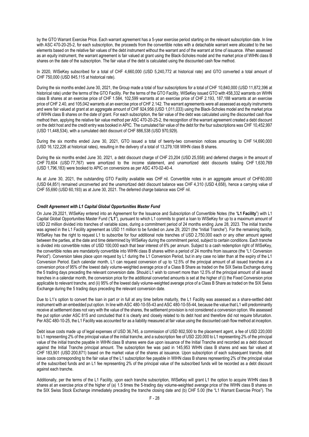by the GTO Warrant Exercise Price. Each warrant agreement has a 5-year exercise period starting on the relevant subscription date. In line with ASC 470-20-25-2, for each subscription, the proceeds from the convertible notes with a detachable warrant were allocated to the two elements based on the relative fair values of the debt instrument without the warrant and of the warrant at time of issuance. When assessed as an equity instrument, the warrant agreement is fair valued at grant using the Black-Scholes model and the market price of WIHN class B shares on the date of the subscription. The fair value of the debt is calculated using the discounted cash flow method.

In 2020, WISeKey subscribed for a total of CHF 4,660,000 (USD 5,240,772 at historical rate) and GTO converted a total amount of CHF 750,000 (USD 845,115 at historical rate).

During the six months ended June 30, 2021, the Group made a total of four subscriptions for a total of CHF 10,840,000 (USD 11,872,396 at historical rate) under the terms of the GTO Facility. Per the terms of the GTO Facility, WISeKey issued GTO with 458,332 warrants on WIHN class B shares at an exercise price of CHF 1.584, 102,599 warrants at an exercise price of CHF 2.193, 187,188 warrants at an exercise price of CHF 2.40, and 105,042 warrants at an exercise price of CHF 2.142. The warrant agreements were all assessed as equity instruments and were fair valued at grant at an aggregate amount of CHF 924,956 (USD 1,011,033) using the Black-Scholes model and the market price of WIHN class B shares on the date of grant. For each subscription, the fair value of the debt was calculated using the discounted cash flow method then, applying the relative fair value method per ASC 470-20-25-2, the recognition of the warrant agreement created a debt discount on the debt host and the credit entry was booked in APIC. The cumulated fair value of the debt for the four subscriptions was CHF 10,452,997 (USD 11,448,534), with a cumulated debt discount of CHF 886,538 (USD 970,929).

During the six months ended June 30, 2021, GTO issued a total of twenty-two conversion notices amounting to CHF 14,690,000 (USD 16,122,226 at historical rates), resulting in the delivery of a total of 13,279,108 WIHN class B shares.

During the six months ended June 30, 2021, a debt discount charge of CHF 23,204 (USD 25,558) and deferred charges in the amount of CHF 70,604 (USD 77,767) were amortized to the income statement, and unamortized debt discounts totaling CHF 1,630,769 (USD 1,796,183) were booked to APIC on conversions as per ASC 470-02-40-4.

As at June 30, 2021, the outstanding GTO Facility available was CHF nil. Convertible notes in an aggregate amount of CHF60,000 (USD 64,851) remained unconverted and the unamortized debt discount balance was CHF 4,310 (USD 4,658), hence a carrying value of CHF 55,690 (USD 60,193) as at June 30, 2021. The deferred charge balance was CHF nil.

#### *Credit Agreement with L1 Capital Global Opportunities Master Fund*

On June 29,2021, WISeKey entered into an Agreement for the Issuance and Subscription of Convertible Notes (the "**L1 Facility**") with L1 Capital Global Opportunities Master Fund ("**L1**"), pursuant to which L1 commits to grant a loan to WISeKey for up to a maximum amount of USD 22 million divided into tranches of variable sizes, during a commitment period of 24 months ending June 28, 2023. The initial tranche was agreed in the L1 Facility agreement as USD 11 million to be funded on June 29, 2021 (the "Initial Tranche"). For the remaining facility, WISeKey has the right to request L1 to subscribe for four additional note tranches of USD 2,750,000 each or any other amount agreed between the parties, at the date and time determined by WISeKey during the commitment period, subject to certain conditions. Each tranche is divided into convertible notes of USD 100,000 each that bear interest of 6% per annum. Subject to a cash redemption right of WISeKey, the convertible notes are mandatorily convertible into WIHN class B shares within a period of 24 months from issuance (the "L1 Conversion Period"). Conversion takes place upon request by L1 during the L1 Conversion Period, but in any case no later than at the expiry of the L1 Conversion Period. Each calendar month, L1 can request conversion of up to 12.5% of the principal amount of all issued tranches at a conversion price of 95% of the lowest daily volume-weighted average price of a Class B Share as traded on the SIX Swiss Exchange during the 5 trading days preceding the relevant conversion date. Should L1 wish to convert more than 12.5% of the principal amount of all issued tranches in a calendar month, the conversion price for the additional converted amounts is set at the higher of (i) the Fixed Conversion price applicable to relevant tranche, and (ii) 95% of the lowest daily volume-weighted average price of a Class B Share as traded on the SIX Swiss Exchange during the 5 trading days preceding the relevant conversion date.

Due to L1's option to convert the loan in part or in full at any time before maturity, the L1 Facility was assessed as a share-settled debt instrument with an embedded put option. In line with ASC 480-10-55-43 and ASC 480-10-55-44, because the value that L1 will predominantly receive at settlement does not vary with the value of the shares, the settlement provision is not considered a conversion option. We assessed the put option under ASC 815 and concluded that it is clearly and closely related to its debt host and therefore did not require bifurcation. Per ASC 480-10-25, the L1 Facility was accounted for as a liability measured at fair value using the discounted cash flow method at inception.

Debt issue costs made up of legal expenses of USD 36,745, a commission of USD 802,500 to the placement agent, a fee of USD 220,000 to L1 representing 2% of the principal value of the initial tranche, and a subscription fee of USD 220,000 to L1 representing 2% of the principal value of the initial tranche payable in WIHN class B shares were due upon issuance of the Initial Tranche and recorded as a debt discount against the Initial Tranche principal amount. The subscription fee was paid in 145,953 WIHN class B shares and was fair valued at CHF 183,901 (USD 200,871) based on the market value of the shares at issuance. Upon subscription of each subsequent tranche, debt issue costs corresponding to the fair value of the L1 subscription fee payable in WIHN class B shares representing 2% of the principal value of the subscribed funds and an L1 fee representing 2% of the principal value of the subscribed funds will be recorded as a debt discount against each tranche.

Additionally, per the terms of the L1 Facility, upon each tranche subscription, WISeKey will grant L1 the option to acquire WIHN class B shares at an exercise price of the higher of (a) 1.5 times the 5-trading day volume-weighted average price of the WIHN class B shares on the SIX Swiss Stock Exchange immediately preceding the tranche closing date and (b) CHF 5.00 (the "L1 Warrant Exercise Price"). The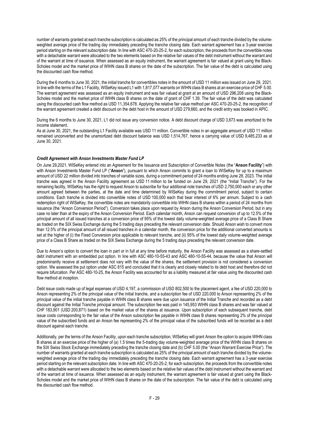number of warrants granted at each tranche subscription is calculated as 25% of the principal amount of each tranche divided by the volumeweighted average price of the trading day immediately preceding the tranche closing date. Each warrant agreement has a 3-year exercise period starting on the relevant subscription date. In line with ASC 470-20-25-2, for each subscription, the proceeds from the convertible notes with a detachable warrant were allocated to the two elements based on the relative fair values of the debt instrument without the warrant and of the warrant at time of issuance. When assessed as an equity instrument, the warrant agreement is fair valued at grant using the Black-Scholes model and the market price of WIHN class B shares on the date of the subscription. The fair value of the debt is calculated using the discounted cash flow method.

During the 6 months to June 30, 2021, the initial tranche for convertibles notes in the amount of USD 11 million was issued on June 29, 2021. In line with the terms of the L1 Facility, WISeKey issued L1 with 1,817,077 warrants on WIHN class B shares at an exercise price of CHF 5.00. The warrant agreement was assessed as an equity instrument and was fair valued at grant at an amount of USD 296,208 using the Black-Scholes model and the market price of WIHN class B shares on the date of grant of CHF 1.39. The fair value of the debt was calculated using the discounted cash flow method as USD 11,354,678. Applying the relative fair value method per ASC 470-20-25-2, the recognition of the warrant agreement created a debt discount on the debt host in the amount of USD 279,660, and the credit entry was booked in APIC.

During the 6 months to June 30, 2021, L1 did not issue any conversion notice. A debt discount charge of USD 3,673 was amortized to the income statement.

As at June 30, 2021, the outstanding L1 Facility available was USD 11 million. Convertible notes in an aggregate amount of USD 11 million remained unconverted and the unamortized debt discount balance was USD 1,514,767, hence a carrying value of USD 9,485,233 as at June 30, 2021.

#### *Credit Agreement with Anson Investments Master Fund LP*

On June 29,2021, WISeKey entered into an Agreement for the Issuance and Subscription of Convertible Notes (the "**Anson Facility**") with with Anson Investments Master Fund LP ("**Anson**"), pursuant to which Anson commits to grant a loan to WISeKey for up to a maximum amount of USD 22 million divided into tranches of variable sizes, during a commitment period of 24 months ending June 28, 2023. The initial tranche was agreed in the Anson Facility agreement as USD 11 million to be funded on June 29, 2021 (the "Initial Tranche"). For the remaining facility, WISeKey has the right to request Anson to subscribe for four additional note tranches of USD 2,750,000 each or any other amount agreed between the parties, at the date and time determined by WISeKey during the commitment period, subject to certain conditions. Each tranche is divided into convertible notes of USD 100,000 each that bear interest of 6% per annum. Subject to a cash redemption right of WISeKey, the convertible notes are mandatorily convertible into WIHN class B shares within a period of 24 months from issuance (the "Anson Conversion Period"). Conversion takes place upon request by Anson during the Anson Conversion Period, but in any case no later than at the expiry of the Anson Conversion Period. Each calendar month, Anson can request conversion of up to 12.5% of the principal amount of all issued tranches at a conversion price of 95% of the lowest daily volume-weighted average price of a Class B Share as traded on the SIX Swiss Exchange during the 5 trading days preceding the relevant conversion date. Should Anson wish to convert more than 12.5% of the principal amount of all issued tranches in a calendar month, the conversion price for the additional converted amounts is set at the higher of (i) the Fixed Conversion price applicable to relevant tranche, and (ii) 95% of the lowest daily volume-weighted average price of a Class B Share as traded on the SIX Swiss Exchange during the 5 trading days preceding the relevant conversion date.

Due to Anson's option to convert the loan in part or in full at any time before maturity, the Anson Facility was assessed as a share-settled debt instrument with an embedded put option. In line with ASC 480-10-55-43 and ASC 480-10-55-44, because the value that Anson will predominantly receive at settlement does not vary with the value of the shares, the settlement provision is not considered a conversion option. We assessed the put option under ASC 815 and concluded that it is clearly and closely related to its debt host and therefore did not require bifurcation. Per ASC 480-10-25, the Anson Facility was accounted for as a liability measured at fair value using the discounted cash flow method at inception.

Debt issue costs made up of legal expenses of USD 4,197, a commission of USD 802,500 to the placement agent, a fee of USD 220,000 to Anson representing 2% of the principal value of the initial tranche, and a subscription fee of USD 220,000 to Anson representing 2% of the principal value of the initial tranche payable in WIHN class B shares were due upon issuance of the Initial Tranche and recorded as a debt discount against the Initial Tranche principal amount. The subscription fee was paid in 145,953 WIHN class B shares and was fair valued at CHF 183,901 (USD 200,871) based on the market value of the shares at issuance. Upon subscription of each subsequent tranche, debt issue costs corresponding to the fair value of the Anson subscription fee payable in WIHN class B shares representing 2% of the principal value of the subscribed funds and an Anson fee representing 2% of the principal value of the subscribed funds will be recorded as a debt discount against each tranche.

Additionally, per the terms of the Anson Facility, upon each tranche subscription, WISeKey will grant Anson the option to acquire WIHN class B shares at an exercise price of the higher of (a) 1.5 times the 5-trading day volume-weighted average price of the WIHN class B shares on the SIX Swiss Stock Exchange immediately preceding the tranche closing date and (b) CHF 5.00 (the "Anson Warrant Exercise Price"). The number of warrants granted at each tranche subscription is calculated as 25% of the principal amount of each tranche divided by the volumeweighted average price of the trading day immediately preceding the tranche closing date. Each warrant agreement has a 3-year exercise period starting on the relevant subscription date. In line with ASC 470-20-25-2, for each subscription, the proceeds from the convertible notes with a detachable warrant were allocated to the two elements based on the relative fair values of the debt instrument without the warrant and of the warrant at time of issuance. When assessed as an equity instrument, the warrant agreement is fair valued at grant using the Black-Scholes model and the market price of WIHN class B shares on the date of the subscription. The fair value of the debt is calculated using the discounted cash flow method.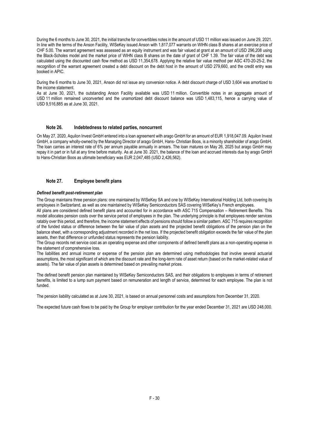During the 6 months to June 30, 2021, the initial tranche for convertibles notes in the amount of USD 11 million was issued on June 29, 2021. In line with the terms of the Anson Facility, WISeKey issued Anson with 1,817,077 warrants on WIHN class B shares at an exercise price of CHF 5.00. The warrant agreement was assessed as an equity instrument and was fair valued at grant at an amount of USD 296,208 using the Black-Scholes model and the market price of WIHN class B shares on the date of grant of CHF 1.39. The fair value of the debt was calculated using the discounted cash flow method as USD 11,354,678. Applying the relative fair value method per ASC 470-20-25-2, the recognition of the warrant agreement created a debt discount on the debt host in the amount of USD 279,660, and the credit entry was booked in APIC.

During the 6 months to June 30, 2021, Anson did not issue any conversion notice. A debt discount charge of USD 3,604 was amortized to the income statement.

As at June 30, 2021, the outstanding Anson Facility available was USD 11 million. Convertible notes in an aggregate amount of USD 11 million remained unconverted and the unamortized debt discount balance was USD 1,483,115, hence a carrying value of USD 9,516,885 as at June 30, 2021.

## **Note 26. Indebtedness to related parties, noncurrent**

On May 27, 2020, Aquilon Invest GmbH entered into a loan agreement with arago GmbH for an amount of EUR 1,918,047.09. Aquilon Invest GmbH, a company wholly-owned by the Managing Director of arago GmbH, Hans- Christian Boos, is a minority shareholder of arago GmbH. The loan carries an interest rate of 6% per annum payable annually in arrears. The loan matures on May 26, 2025 but arago GmbH may repay it in part or in full at any time before maturity. As at June 30. 2021, the balance of the loan and accrued interests due by arago GmbH to Hans-Christian Boos as ultimate beneficiary was EUR 2,047,485 (USD 2,426,562).

## **Note 27. Employee benefit plans**

#### *Defined benefit post-retirement plan*

The Group maintains three pension plans: one maintained by WISeKey SA and one by WISeKey International Holding Ltd, both covering its employees in Switzerland, as well as one maintained by WISeKey Semiconductors SAS covering WISeKey's French employees.

All plans are considered defined benefit plans and accounted for in accordance with ASC 715 Compensation – Retirement Benefits. This model allocates pension costs over the service period of employees in the plan. The underlying principle is that employees render services ratably over this period, and therefore, the income statement effects of pensions should follow a similar pattern. ASC 715 requires recognition of the funded status or difference between the fair value of plan assets and the projected benefit obligations of the pension plan on the balance sheet, with a corresponding adjustment recorded in the net loss. If the projected benefit obligation exceeds the fair value of the plan assets, then that difference or unfunded status represents the pension liability.

The Group records net service cost as an operating expense and other components of defined benefit plans as a non-operating expense in the statement of comprehensive loss.

The liabilities and annual income or expense of the pension plan are determined using methodologies that involve several actuarial assumptions, the most significant of which are the discount rate and the long-term rate of asset return (based on the market-related value of assets). The fair value of plan assets is determined based on prevailing market prices.

The defined benefit pension plan maintained by WISeKey Semiconductors SAS, and their obligations to employees in terms of retirement benefits, is limited to a lump sum payment based on remuneration and length of service, determined for each employee. The plan is not funded.

The pension liability calculated as at June 30, 2021, is based on annual personnel costs and assumptions from December 31, 2020.

The expected future cash flows to be paid by the Group for employer contribution for the year ended December 31, 2021 are USD 248,000.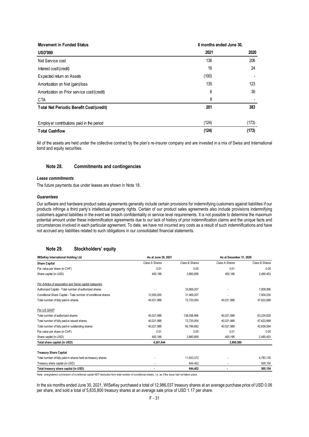| <b>Movement in Funded Status</b>            | 6 months ended June 30, |       |  |
|---------------------------------------------|-------------------------|-------|--|
| <b>USD'000</b>                              | 2021                    | 2020  |  |
| Net Service cost                            | 136                     | 206   |  |
| Interest cost/(credit)                      | 16                      | 24    |  |
| Expected return on Assets                   | (100)                   |       |  |
| Amortization on Net (gain)/loss             | 135                     | 123   |  |
| Amortization on Prior service cost/(credit) | 6                       | 30    |  |
| CTA                                         | 8                       |       |  |
| Total Net Periodic Benefit Cost/(credit)    | 201                     | 383   |  |
| Employ er contributions paid in the period  | (124)                   | (173) |  |
| <b>Total Cashflow</b>                       | (124)                   | (173) |  |

All of the assets are held under the collective contract by the plan's re-insurer company and are invested in a mix of Swiss and International bond and equity securities.

#### **Note 28. Commitments and contingencies**

## *Lease commitments*

The future payments due under leases are shown in Note 18.

#### *Guarantees*

Our software and hardware product sales agreements generally include certain provisions for indemnifying customers against liabilities if our products infringe a third party's intellectual property rights. Certain of our product sales agreements also include provisions indemnifying customers against liabilities in the event we breach confidentiality or service level requirements. It is not possible to determine the maximum potential amount under these indemnification agreements due to our lack of history of prior indemnification claims and the unique facts and circumstances involved in each particular agreement. To date, we have not incurred any costs as a result of such indemnifications and have not accrued any liabilities related to such obligations in our consolidated financial statements.

## **Note 29. Stockholders' equity**

| <b>WISeKey International Holding Ltd</b><br>As at June 30, 2021 |                | As at December 31, 2020 |                |                |
|-----------------------------------------------------------------|----------------|-------------------------|----------------|----------------|
| <b>Share Capital</b>                                            | Class A Shares | Class B Shares          | Class A Shares | Class B Shares |
| Par value per share (in CHF)                                    | 0.01           | 0.05                    | 0.01           | 0.05           |
| Share capital (in USD)                                          | 400,186        | 3,860,858               | 400,186        | 2,490,403      |
| Per Articles of association and Swiss capital categories        |                |                         |                |                |
| Authorized Capital - Total number of authorized shares          |                | 33.869.207              |                | 7,808,906      |
| Conditional Share Capital - Total number of conditional shares  | 12,000,000     | 31,469,207              |                | 7,804,030      |
| Total number of fully paid-in shares                            | 40,021,988     | 72,720,054              | 40,021,988     | 47,622,689     |
| Per US GAAP                                                     |                |                         |                |                |
| Total number of authorized shares                               | 40,021,988     | 138,058,468             | 40,021,988     | 63,234,625     |
| Total number of fully paid-in issued shares                     | 40,021,988     | 72,720,054              | 40,021,988     | 47,622,689     |
| Total number of fully paid-in outstanding shares                | 40,021,988     | 60.786.682              | 40,021,988     | 42,839,554     |
| Par value per share (in CHF)                                    | 0.01           | 0.05                    | 0.01           | 0.05           |
| Share capital (in USD)                                          | 400,186        | 3.860.858               | 400,186        | 2,490,403      |
| Total share capital (in USD)                                    | 4,261,044      |                         | 2,890,589      |                |
| <b>Treasury Share Capital</b>                                   |                |                         |                |                |
| Total number of fully paid-in shares held as treasury shares    |                | 11,933,372              |                | 4,783,135      |
| Treasury share capital (in USD)                                 |                | 644,402                 |                | 505,154        |
| Total treasury share capital (in USD)                           |                | 644,402                 | ٠              | 505,154        |

Note: unregistered conversion of conditional capital NOT deducted from total number of conditional shares, i.e. as if the issue had not taken place.

In the six months ended June 30, 2021, WISeKey purchased a total of 12,986,037 treasury shares at an average purchase price of USD 0.06 per share, and sold a total of 5,835,800 treasury shares at an average sale price of USD 1.17 per share.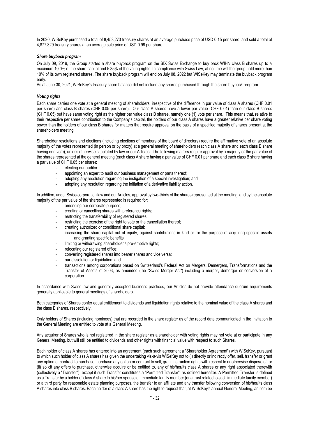In 2020, WISeKey purchased a total of 8,458,273 treasury shares at an average purchase price of USD 0.15 per share, and sold a total of 4,877,329 treasury shares at an average sale price of USD 0.99 per share.

#### *Share buyback program*

On July 09, 2019, the Group started a share buyback program on the SIX Swiss Exchange to buy back WIHN class B shares up to a maximum 10.0% of the share capital and 5.35% of the voting rights. In compliance with Swiss Law, at no time will the group hold more than 10% of its own registered shares. The share buyback program will end on July 08, 2022 but WISeKey may terminate the buyback program early.

As at June 30, 2021, WISeKey's treasury share balance did not include any shares purchased through the share buyback program.

#### *Voting rights*

Each share carries one vote at a general meeting of shareholders, irrespective of the difference in par value of class A shares (CHF 0.01 per share) and class B shares (CHF 0.05 per share). Our class A shares have a lower par value (CHF 0.01) than our class B shares (CHF 0.05) but have same voting right as the higher par value class B shares, namely one (1) vote per share. This means that, relative to their respective per share contribution to the Company's capital, the holders of our class A shares have a greater relative per share voting power than the holders of our class B shares for matters that require approval on the basis of a specified majority of shares present at the shareholders meeting.

Shareholder resolutions and elections (including elections of members of the board of directors) require the affirmative vote of an absolute majority of the votes represented (in person or by proxy) at a general meeting of shareholders (each class A share and each class B share having one vote), unless otherwise stipulated by law or our Articles. The following matters require approval by a majority of the par value of the shares represented at the general meeting (each class A share having a par value of CHF 0.01 per share and each class B share having a par value of CHF 0.05 per share):

- electing our auditor;
- appointing an expert to audit our business management or parts thereof;
- adopting any resolution regarding the instigation of a special investigation; and
- adopting any resolution regarding the initiation of a derivative liability action.

In addition, under Swiss corporation law and our Articles, approval by two-thirds of the shares represented at the meeting, and by the absolute majority of the par value of the shares represented is required for:

- amending our corporate purpose:
- creating or cancelling shares with preference rights;
- restricting the transferability of registered shares;
- restricting the exercise of the right to vote or the cancellation thereof:
- creating authorized or conditional share capital;
- increasing the share capital out of equity, against contributions in kind or for the purpose of acquiring specific assets and granting specific benefits;
- limiting or withdrawing shareholder's pre-emptive rights:
- relocating our registered office;
- converting registered shares into bearer shares and vice versa;
- our dissolution or liquidation; and
- transactions among corporations based on Switzerland's Federal Act on Mergers, Demergers, Transformations and the Transfer of Assets of 2003, as amended (the "Swiss Merger Act") including a merger, demerger or conversion of a corporation.

In accordance with Swiss law and generally accepted business practices, our Articles do not provide attendance quorum requirements generally applicable to general meetings of shareholders.

Both categories of Shares confer equal entitlement to dividends and liquidation rights relative to the nominal value of the class A shares and the class B shares, respectively.

Only holders of Shares (including nominees) that are recorded in the share register as of the record date communicated in the invitation to the General Meeting are entitled to vote at a General Meeting.

Any acquirer of Shares who is not registered in the share register as a shareholder with voting rights may not vote at or participate in any General Meeting, but will still be entitled to dividends and other rights with financial value with respect to such Shares.

Each holder of class A shares has entered into an agreement (each such agreement a "Shareholder Agreement") with WISeKey, pursuant to which such holder of class A shares has given the undertaking vis-à-vis WISeKey not to (i) directly or indirectly offer, sell, transfer or grant any option or contract to purchase, purchase any option or contract to sell, grant instruction rights with respect to or otherwise dispose of, or (ii) solicit any offers to purchase, otherwise acquire or be entitled to, any of his/her/its class A shares or any right associated therewith (collectively a "Transfer"), except if such Transfer constitutes a "Permitted Transfer", as defined hereafter. A Permitted Transfer is defined as a Transfer by a holder of class A share to his/her spouse or immediate family member (or a trust related to such immediate family member) or a third party for reasonable estate planning purposes, the transfer to an affiliate and any transfer following conversion of his/her/its class A shares into class B shares. Each holder of a class A share has the right to request that, at WISeKey's annual General Meeting, an item be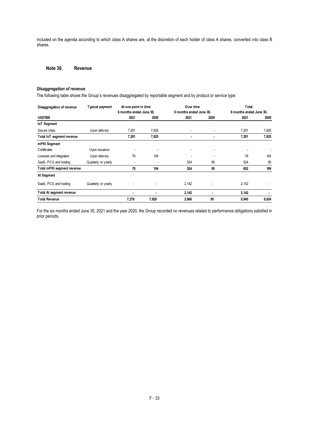included on the agenda according to which class A shares are, at the discretion of each holder of class A shares, converted into class B shares.

## **Note 30. Revenue**

## *Disaggregation of revenue*

The following table shows the Group's revenues disaggregated by reportable segment and by product or service type:

| Disaggregation of revenue  | <b>Typical payment</b> | At one point in time    |                | Over time               |      | Total                   |       |
|----------------------------|------------------------|-------------------------|----------------|-------------------------|------|-------------------------|-------|
|                            |                        | 6 months ended June 30, |                | 6 months ended June 30, |      | 6 months ended June 30. |       |
| <b>USD'000</b>             |                        | 2021                    | 2020           | 2021                    | 2020 | 2021                    | 2020  |
| <b>IoT</b> Segment         |                        |                         |                |                         |      |                         |       |
| Secure chips               | Upon delivery          | 7,201                   | 7,825          |                         | ٠    | 7,201                   | 7,825 |
| Total IoT segment revenue  |                        | 7,201                   | 7,825          |                         | ٠    | 7,201                   | 7,825 |
| mPKI Segment               |                        |                         |                |                         |      |                         |       |
| Certificates               | Upon issuance          |                         |                | ۰                       | ٠    |                         |       |
| Licenses and integration   | U pon delivery         | 78                      | 104            |                         |      | 78                      | 104   |
| SaaS, PCS and hosting      | Quarterly or yearly    | ۰                       | $\overline{a}$ | 524                     | 95   | 524                     | 95    |
| Total mPKI segment revenue |                        | 78                      | 104            | 524                     | 95   | 602                     | 199   |
| Al Segment                 |                        |                         |                |                         |      |                         |       |
| SaaS, PCS and hosting      | Quarterly or yearly    |                         |                | 2,142                   |      | 2,142                   |       |
| Total AI segment revenue   |                        | ٠                       | ٠              | 2,142                   | ٠    | 2,142                   |       |
| <b>Total Revenue</b>       |                        | 7,279                   | 7,929          | 2,666                   | 95   | 9,945                   | 8,024 |

For the six months ended June 30, 2021 and the year 2020, the Group recorded no revenues related to performance obligations satisfied in prior periods.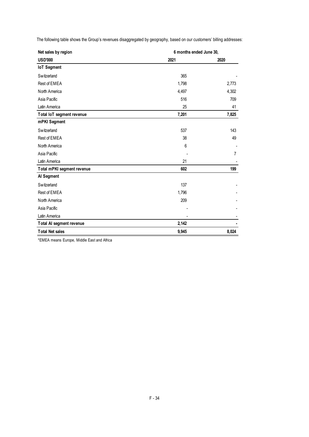| Net sales by region        | 6 months ended June 30, |                |  |
|----------------------------|-------------------------|----------------|--|
| <b>USD'000</b>             | 2021                    | 2020           |  |
| <b>IoT Segment</b>         |                         |                |  |
| Switzerland                | 365                     |                |  |
| Rest of EMEA               | 1,798                   | 2,773          |  |
| North America              | 4,497                   | 4,302          |  |
| Asia Pacific               | 516                     | 709            |  |
| Latin America              | 25                      | 41             |  |
| Total IoT segment revenue  | 7,201                   | 7,825          |  |
| mPKI Segment               |                         |                |  |
| Switzerland                | 537                     | 143            |  |
| Rest of EMEA               | 38                      | 49             |  |
| North America              | 6                       |                |  |
| Asia Pacific               |                         | $\overline{7}$ |  |
| Latin America              | 21                      |                |  |
| Total mPKI segment revenue | 602                     | 199            |  |
| Al Segment                 |                         |                |  |
| Switzerland                | 137                     |                |  |
| Rest of EMEA               | 1,796                   |                |  |
| North America              | 209                     |                |  |
| Asia Pacific               |                         |                |  |
| Latin America              |                         |                |  |
| Total AI segment revenue   | 2,142                   |                |  |
| <b>Total Net sales</b>     | 9,945                   | 8,024          |  |

The following table shows the Group's revenues disaggregated by geography, based on our customers' billing addresses:

\*EMEA means Europe, Middle East and Africa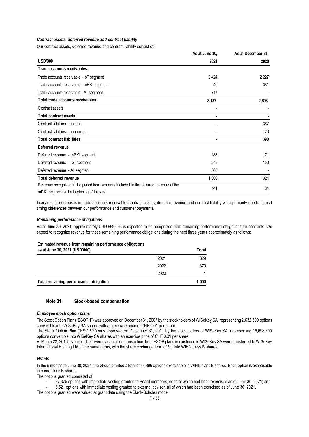## *Contract assets, deferred revenue and contract liability*

Our contract assets, deferred revenue and contract liability consist of:

|                                                                                       | As at June 30, | As at December 31, |
|---------------------------------------------------------------------------------------|----------------|--------------------|
| <b>USD'000</b>                                                                        | 2021           | 2020               |
| Trade accounts receivables                                                            |                |                    |
| Trade accounts receivable - IoT segment                                               | 2,424          | 2,227              |
| Trade accounts receivable - mPKI segment                                              | 46             | 381                |
| Trade accounts receivable - AI segment                                                | 717            |                    |
| Total trade accounts receivables                                                      | 3,187          | 2,608              |
| Contract assets                                                                       |                |                    |
| <b>Total contract assets</b>                                                          |                |                    |
| Contract liabilities - current                                                        |                | 367                |
| Contract liabilities - noncurrent                                                     |                | 23                 |
| <b>Total contract liabilities</b>                                                     |                | 390                |
| Deferred revenue                                                                      |                |                    |
| Deferred revenue - mPKI segment                                                       | 188            | 171                |
| Deferred revenue - IoT segment                                                        | 249            | 150                |
| Deferred revenue - AI segment                                                         | 563            |                    |
| Total deferred revenue                                                                | 1,000          | 321                |
| Revenue recognized in the period from amounts included in the deferred revenue of the | 141            | 84                 |
| mPKI segment at the beginning of the year                                             |                |                    |

Increases or decreases in trade accounts receivable, contract assets, deferred revenue and contract liability were primarily due to normal timing differences between our performance and customer payments.

#### *Remaining performance obligations*

As of June 30, 2021, approximately USD 999,696 is expected to be recognized from remaining performance obligations for contracts. We expect to recognize revenue for these remaining performance obligations during the next three years approximately as follows:

## **Estimated revenue from remaining performance obligations**

| as at June 30, 2021 (USD'000)          |      | Total |
|----------------------------------------|------|-------|
|                                        | 2021 | 629   |
|                                        | 2022 | 370   |
|                                        | 2023 |       |
| Total remaining performance obligation |      | 1,000 |

## **Note 31. Stock-based compensation**

## *Employee stock option plans*

The Stock Option Plan ("ESOP 1") was approved on December 31, 2007 by the stockholders of WISeKey SA, representing 2,632,500 options convertible into WISeKey SA shares with an exercise price of CHF 0.01 per share.

The Stock Option Plan ("ESOP 2") was approved on December 31, 2011 by the stockholders of WISeKey SA, representing 16,698,300 options convertible into WISeKey SA shares with an exercise price of CHF 0.01 per share.

At March 22, 2016 as part of the reverse acquisition transaction, both ESOP plans in existence in WISeKey SA were transferred to WISeKey International Holding Ltd at the same terms, with the share exchange term of 5:1 into WIHN class B shares.

## *Grants*

In the 6 months to June 30, 2021, the Group granted a total of 33,896 options exercisable in WIHN class B shares. Each option is exercisable into one class B share.

The options granted consisted of:

- 27,375 options with immediate vesting granted to Board members, none of which had been exercised as of June 30, 2021; and
- 6,521 options with immediate vesting granted to external advisor, all of which had been exercised as of June 30, 2021.

The options granted were valued at grant date using the Black-Scholes model.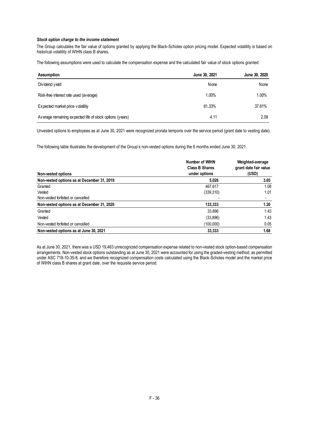#### *Stock option charge to the income statement*

The Group calculates the fair value of options granted by applying the Black-Scholes option pricing model. Expected volatility is based on historical volatility of WIHN class B shares.

The following assumptions were used to calculate the compensation expense and the calculated fair value of stock options granted:

| <b>Assumption</b>                                        | June 30, 2021 | June 30, 2020 |
|----------------------------------------------------------|---------------|---------------|
| Dividend yield                                           | None          | None          |
| Risk-free interest rate used (average)                   | 1.00%         | 1.00%         |
| Expected market price volatility                         | 61.33%        | 37.61%        |
| Average remaining expected life of stock options (years) | 4.11          | 2.09          |

Unvested options to employees as at June 30, 2021 were recognized prorata temporis over the service period (grant date to vesting date).

The following table illustrates the development of the Group's non-vested options during the 6 months ended June 30, 2021.

|                                            | Number of WIHN<br><b>Class B Shares</b> | Weighted-average<br>grant date fair value |
|--------------------------------------------|-----------------------------------------|-------------------------------------------|
| Non-vested options                         | under options                           | (USD)                                     |
| Non-vested options as at December 31, 2019 | 5.026                                   | 3.65                                      |
| Granted                                    | 467.617                                 | 1.08                                      |
| Vested                                     | (339,310)                               | 1.01                                      |
| Non-vested forfeited or cancelled          |                                         |                                           |
| Non-vested options as at December 31, 2020 | 133,333                                 | 1.20                                      |
| Granted                                    | 33.896                                  | 1.43                                      |
| Vested                                     | (33,896)                                | 1.43                                      |
| Non-vested forfeited or cancelled          | (100,000)                               | 0.05                                      |
| Non-vested options as at June 30, 2021     | 33,333                                  | 1.68                                      |

As at June 30, 2021, there was a USD 19,463 unrecognized compensation expense related to non-vested stock option-based compensation arrangements. Non-vested stock options outstanding as at June 30, 2021 were accounted for using the graded-vesting method, as permitted under ASC 718-10-35-8, and we therefore recognized compensation costs calculated using the Black-Scholes model and the market price of WIHN class B shares at grant date, over the requisite service period.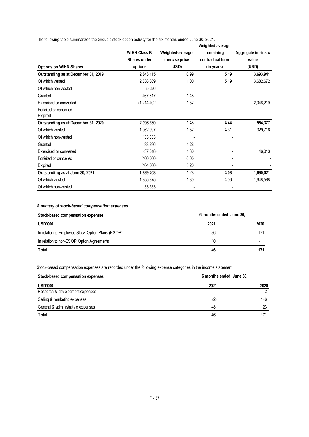The following table summarizes the Group's stock option activity for the six months ended June 30, 2021.

|                                     |                     |                  | Weighted average |                     |
|-------------------------------------|---------------------|------------------|------------------|---------------------|
|                                     | <b>WIHN Class B</b> | Weighted-average | remaining        | Aggregate intrinsic |
|                                     | Shares under        | exercise price   | contractual term | value               |
| <b>Options on WIHN Shares</b>       | options             | (USD)            | (in years)       | (USD)               |
| Outstanding as at December 31, 2019 | 2,843,115           | 0.99             | 5.19             | 3,693,941           |
| Of which vested                     | 2,838,089           | 1.00             | 5.19             | 3,682,672           |
| Of which non-vested                 | 5,026               |                  |                  |                     |
| Granted                             | 467,617             | 1.48             |                  |                     |
| Exercised or converted              | (1,214,402)         | 1.57             |                  | 2,046,219           |
| Forfeited or cancelled              |                     |                  |                  |                     |
| Expired                             |                     |                  |                  |                     |
| Outstanding as at December 31, 2020 | 2,096,330           | 1.48             | 4.44             | 554,377             |
| Of which vested                     | 1,962,997           | 1.57             | 4.31             | 329,716             |
| Of which non-vested                 | 133,333             |                  |                  |                     |
| Granted                             | 33,896              | 1.28             |                  |                     |
| Exercised or converted              | (37,018)            | 1.30             |                  | 46,013              |
| Forfeited or cancelled              | (100,000)           | 0.05             |                  |                     |
| Expired                             | (104,000)           | 5.20             |                  |                     |
| Outstanding as at June 30, 2021     | 1,889,208           | 1.28             | 4.08             | 1,690,021           |
| Of which yested                     | 1,855,875           | 1.30             | 4.06             | 1,648,588           |
| Of which non-vested                 | 33,333              |                  |                  |                     |

## *Summary of stock-based compensation expenses*

| Stock-based compensation expenses                 | 6 months ended June 30, |      |  |
|---------------------------------------------------|-------------------------|------|--|
| <b>USD'000</b>                                    | 2021                    | 2020 |  |
| In relation to Employee Stock Option Plans (ESOP) | 36                      | 171  |  |
| In relation to non-ESOP Option Agreements         | 10                      | -    |  |
| <b>T</b> otal                                     | 46                      | 171  |  |

Stock-based compensation expenses are recorded under the following expense categories in the income statement.

| Stock-based compensation expenses |      | 6 months ended June 30, |  |  |
|-----------------------------------|------|-------------------------|--|--|
| <b>USD'000</b>                    | 2021 | 2020                    |  |  |
| Research & development expenses   | -    |                         |  |  |
| Selling & marketing expenses      | (2)  | 146                     |  |  |
| General & administrative expenses | 48   | 23                      |  |  |
| <b>T</b> otal                     | 46   | 171                     |  |  |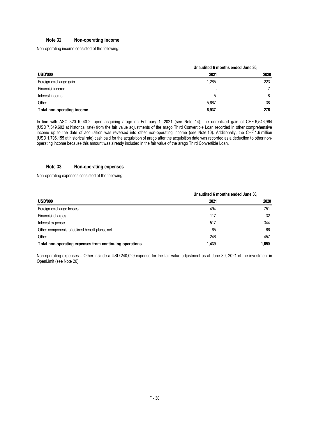## **Note 32. Non-operating income**

Non-operating income consisted of the following:

|                            |       | Unaudited 6 months ended June 30, |  |  |
|----------------------------|-------|-----------------------------------|--|--|
| <b>USD'000</b>             | 2021  | 2020                              |  |  |
| Foreign ex change gain     | 1,265 | 223                               |  |  |
| Financial income           | -     |                                   |  |  |
| Interest income            | 5     | 8                                 |  |  |
| Other                      | 5,667 | 38                                |  |  |
| Total non-operating income | 6,937 | 276                               |  |  |

In line with ASC 320-10-40-2, upon acquiring arago on February 1, 2021 (see Note 14), the unrealized gain of CHF 6,546,964 (USD 7,349,602 at historical rate) from the fair value adjustments of the arago Third Convertible Loan recorded in other comprehensive income up to the date of acquisition was reversed into other non-operating income (see Note 10). Additionally, the CHF 1.6 million (USD 1,796,155 at historical rate) cash paid for the acquisition of arago after the acquisition date was recorded as a deduction to other nonoperating income because this amount was already included in the fair value of the arago Third Convertible Loan.

## **Note 33. Non-operating expenses**

Non-operating expenses consisted of the following:

|                                                         | Unaudited 6 months ended June 30, |       |
|---------------------------------------------------------|-----------------------------------|-------|
| <b>USD'000</b>                                          | 2021                              | 2020  |
| Foreign ex change losses                                | 494                               | 751   |
| Financial charges                                       | 117                               | 32    |
| Interest expense                                        | 517                               | 344   |
| Other components of defined benefit plans, net          | 65                                | 66    |
| Other                                                   | 246                               | 457   |
| Total non-operating expenses from continuing operations | 1.439                             | 1,650 |

Non-operating expenses – Other include a USD 240,029 expense for the fair value adjustment as at June 30, 2021 of the investment in OpenLimit (see Note 20).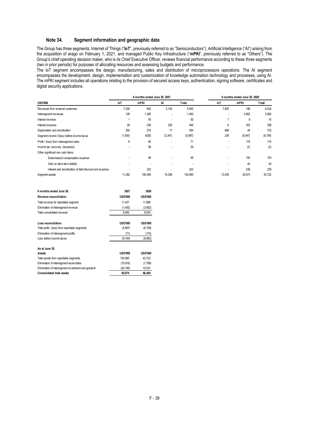## **Note 34. Segment information and geographic data**

<span id="page-38-0"></span>The Group has three segments: Internet of Things ("**IoT**", previously referred to as "Semiconductors"), Artificial Intelligence ("AI") arising from the acquisition of arago on February 1, 2021, and managed Public Key Infrastructure ("**mPKI**", previously referred to as "Others"). The Group's chief operating decision maker, who is its Chief Executive Officer, reviews financial performance according to these three segments (two in prior periods) for purposes of allocating resources and assessing budgets and performance.

The IoT segment encompasses the design, manufacturing, sales and distribution of microprocessors operations. The AI segment encompasses the development, design, implementation and customization of knowledge automation technology and processes, using AI. The mPKI segment includes all operations relating to the provision of secured access keys, authentication, signing software, certificates and digital security applications.

|                                                        | 6 months ended June 30, 2021 |         |                          |                          | 6 months ended June 30, 2020 |          |          |
|--------------------------------------------------------|------------------------------|---------|--------------------------|--------------------------|------------------------------|----------|----------|
| <b>USD'000</b>                                         | loT                          | mPKI    | AI                       | Total                    | loT                          | mPKI     | Total    |
| Revenues from external customers                       | 7,200                        | 602     | 2,142                    | 9,945                    | 7.825                        | 199      | 8,024    |
| Intersegment revenues                                  | 128                          | 1,365   | $\overline{\phantom{a}}$ | 1,492                    |                              | 3,662    | 3,662    |
| Interest revenue                                       |                              | 50      |                          | 50                       |                              | 8        | 15       |
| Interest expense                                       | 28                           | 236     | 229                      | 494                      | 6                            | 353      | 358      |
| Depreciation and amortization                          | 293                          | 274     | 17                       | 584                      | 688                          | 44       | 732      |
| Segment income /(loss) before income taxes             | (1,930)                      | (626)   | (3, 341)                 | (5, 897)                 | 238                          | (8, 947) | (8, 709) |
| Profit / (loss) from intersegment sales                | 6                            | 65      |                          | 71                       |                              | 174      | 174      |
| Income tax recovery /(expense)                         |                              | 56      |                          | 56                       |                              | (2)      | (2)      |
| Other significant non cash items                       |                              |         |                          |                          |                              |          |          |
| Share-based compensation expense                       |                              | 46      |                          | 46                       |                              | 154      | 154      |
| Gain on derivative liability                           |                              |         |                          | $\overline{\phantom{a}}$ |                              | 44       | 44       |
| Interest and amortization of debt discount and expense |                              | 223     |                          | 223                      |                              | 239      | 239      |
| Segment assets                                         | 11,282                       | 105,405 | 14,299                   | 130,985                  | 13,049                       | 30,673   | 43,722   |

| 6 months ended June 30.                             | 2021           | 2020           |
|-----------------------------------------------------|----------------|----------------|
| Revenue reconciliation                              | <b>USD'000</b> | <b>USD'000</b> |
| Total revenue for reportable segment                | 11.437         | 11.686         |
| Elimination of intersegment revenue                 | (1,492)        | (3,662)        |
| Total consolidated revenue                          | 9,945          | 8,024          |
|                                                     |                |                |
| Loss reconciliation                                 | <b>USD'000</b> | <b>USD'000</b> |
| Total profit / (loss) from reportable segments      | (5,897)        | (8,709)        |
| Elimination of intersegment profits                 | (71)           | (174)          |
| Loss before income taxes                            | (6, 164)       | (8,883)        |
|                                                     |                |                |
| As at June 30.                                      |                |                |
| Assets                                              | <b>USD'000</b> | <b>USD'000</b> |
| Total assets from reportable segments               | 130.985        | 43.722         |
| Elimination of intersegment receivables             | (10, 916)      | (7,769)        |
| Elimination of intersegment investment and goodwill | (24, 195)      | 10,531         |
| <b>Consolidated total assets</b>                    | 95.874         | 46.484         |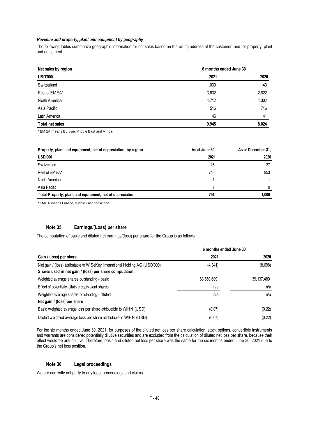## *Revenue and property, plant and equipment by geography*

The following tables summarize geographic information for net sales based on the billing address of the customer, and for property, plant and equipment.

| Net sales by region |       | 6 months ended June 30, |  |  |
|---------------------|-------|-------------------------|--|--|
| <b>USD'000</b>      | 2021  | 2020                    |  |  |
| Switzerland         | 1,039 | 143                     |  |  |
| Rest of EMEA*       | 3,632 | 2,822                   |  |  |
| North America       | 4,712 | 4,302                   |  |  |
| Asia Pacific        | 516   | 716                     |  |  |
| Latin America       | 46    | 41                      |  |  |
| Total net sales     | 9,945 | 8,024                   |  |  |

\* EM EA means Europe, M iddle East and Africa

| Property, plant and equipment, net of depreciation, by region | As at June 30, | As at December 31, |
|---------------------------------------------------------------|----------------|--------------------|
| <b>USD'000</b>                                                | 2021           | 2020               |
| Switzerland                                                   | 25             | 37                 |
| Rest of EMEA*                                                 | 718            | 953                |
| North America                                                 |                |                    |
| Asia Pacific                                                  |                | 9                  |
| Total Property, plant and equipment, net of depreciation      | 751            | 1.000              |

\* EM EA means Europe, M iddle East and Africa

## **Note 35. Earnings/(Loss) per share**

The computation of basic and diluted net earnings/(loss) per share for the Group is as follows:

|                                                                              | 6 months ended June 30, |              |
|------------------------------------------------------------------------------|-------------------------|--------------|
| Gain / (loss) per share                                                      | 2021                    | 2020         |
| Net gain / (loss) attributable to WISeKey International Holding AG (USD'000) | (4, 341)                | (8,698)      |
| Shares used in net gain / (loss) per share computation:                      |                         |              |
| Weighted average shares outstanding - basic                                  | 63,559,699              | 39, 137, 480 |
| Effect of potentially dilutive equivalent shares                             | n/a                     | n/a          |
| Weighted average shares outstanding - diluted                                | n/a                     | n/a          |
| Net gain / (loss) per share                                                  |                         |              |
| Basic weighted average loss per share attributable to WIHN (USD)             | (0.07)                  | (0.22)       |
| Diluted weighted average loss per share attributable to WIHN (USD)           | (0.07)                  | (0.22)       |

For the six months ended June 30, 2021, for purposes of the diluted net loss per share calculation, stock options, convertible instruments and warrants are considered potentially dilutive securities and are excluded from the calculation of diluted net loss per share, because their effect would be anti-dilutive. Therefore, basic and diluted net loss per share was the same for the six months ended June 30, 2021 due to the Group's net loss position.

## **Note 36. Legal proceedings**

We are currently not party to any legal proceedings and claims.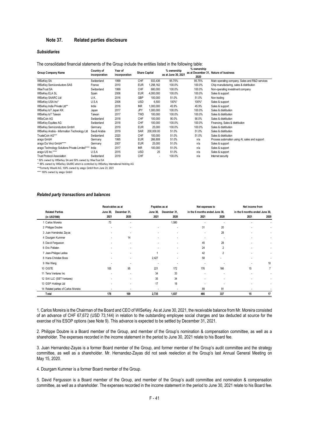## **Note 37. Related parties disclosure**

## *Subsidiaries*

| <b>Group Company Name</b>                                                                    | Country of<br>incorporation | Year of<br>incorporation | <b>Share Capital</b> |            | % ownership<br>as at June 30, 2021 | % ownership    | as at December 31, Nature of business          |  |
|----------------------------------------------------------------------------------------------|-----------------------------|--------------------------|----------------------|------------|------------------------------------|----------------|------------------------------------------------|--|
| <b>WISeKey SA</b>                                                                            | Switzerland                 | 1999                     | <b>CHF</b>           | 933,436    | 95.75%                             | 2020<br>95.75% | Main operating company. Sales and R&D services |  |
| <b>WISeKey Semiconductors SAS</b>                                                            | France                      | 2010                     | <b>EUR</b>           | 1,298,162  | 100.0%                             | 100.0%         | Chip manufacturing, sales & distribution       |  |
| WiseTrust SA                                                                                 | Switzerland                 | 1999                     | CHF                  | 680,000    | 100.0%                             | 100.0%         | Non-operating investment company               |  |
| <b>WISeKey ELA SL</b>                                                                        | Spain                       | 2006                     | <b>EUR</b>           | 4,000,000  | 100.0%                             | 100.0%         | Sales & support                                |  |
| <b>WISeKey SAARC Ltd</b>                                                                     | U.K.                        | 2016                     | <b>GBP</b>           | 100,000    | 51.0%                              | 51.0%          | Non trading                                    |  |
| WISeKey USA Inc*                                                                             | U.S.A                       | 2006                     | <b>USD</b>           | 6,500      | 100%*                              | 100%*          | Sales & support                                |  |
| WISeKey India Private Ltd**                                                                  | India                       | 2016                     | <b>INR</b>           | 1,000,000  | 45.9%                              | 45.9%          | Sales & support                                |  |
| WISeKey loT Japan KK                                                                         | Japan                       | 2017                     | JPY                  | 1,000,000  | 100.0%                             | 100.0%         | Sales & distribution                           |  |
| WISeKey loT Taiwan                                                                           | Taiwan                      | 2017                     | <b>TWD</b>           | 100,000    | 100.0%                             | 100.0%         | Sales & distribution                           |  |
| WISeCoin AG                                                                                  | Switzerland                 | 2018                     | <b>CHF</b>           | 100,000    | 90.0%                              | 90.0%          | Sales & distribution                           |  |
| <b>WISeKey Equities AG</b>                                                                   | Switzerland                 | 2018                     | <b>CHF</b>           | 100,000    | 100.0%                             | 100.0%         | Financing, Sales & distribution                |  |
| WISeKey Semiconductors GmbH                                                                  | Germany                     | 2019                     | <b>EUR</b>           | 25,000     | 100.0%                             | 100.0%         | Sales & distribution                           |  |
| WISeKey Arabia - Information Technology Ltd                                                  | Saudi Arabia                | 2019                     | SAR                  | 200,000.00 | 51.0%                              | 51.0%          | Sales & distribution                           |  |
| TrusteCoin AG***                                                                             | Switzerland                 | 2020                     | <b>CHF</b>           | 100,000    | 51.0%                              | 51.0%          | Sales & distribution                           |  |
| arago GmbH                                                                                   | Germany                     | 1995                     | <b>EUR</b>           | 266,808    | 51.0%                              | n/a            | Process automation using AI, sales and support |  |
| arago Da Vinci GmbH****                                                                      | Germany                     | 2007                     | <b>EUR</b>           | 25,000     | 51.0%                              | n/a            | Sales & support                                |  |
| arago Technology Solutions Private Limited****                                               | India                       | 2017                     | <b>INR</b>           | 100,000    | 51.0%                              | n/a            | Sales & support                                |  |
| arago US Inc.****                                                                            | U.S.A                       | 2015                     | <b>USD</b>           | 25         | 51.0%                              | n/a            | Sales & support                                |  |
| <b>Trust Protocol Association</b><br>* 50% owned by WISeKey SA and 50% owned by WiseTrust SA | Switzerland                 | 2019                     | CHF                  | ٠          | 100.0%                             | n/a            | Internet security                              |  |

The consolidated financial statements of the Group include the entities listed in the following table:

\*\* 88% owned by WISeKey SAARC which is controlled by WISeKey International Holding AG

\*\*\*Formerly WiseAI AG, 100% owned by arago GmbH from June 23, 2021

\*\*\*\* 100% owned by arago GmbH

#### *Related party transactions and balances*

|                                      | Receivables as at        |                          | Payables as at |                          |                                | Net expenses to          |                                | Net income from |  |
|--------------------------------------|--------------------------|--------------------------|----------------|--------------------------|--------------------------------|--------------------------|--------------------------------|-----------------|--|
| <b>Related Parties</b>               | <b>June 30,</b>          | December 31,             | June 30,       | December 31,             | in the 6 months ended June 30, |                          | in the 6 months ended June 30, |                 |  |
| (in USD'000)                         | 2021                     | 2020                     | 2021           | 2020                     | 2021                           | 2020                     | 2021                           | 2020            |  |
| 1 Carlos Moreira                     | 73                       |                          |                | 1,580                    |                                |                          |                                |                 |  |
| 2 Philippe Doubre                    | $\overline{\phantom{a}}$ | $\overline{\phantom{a}}$ | ٠              | ٠                        | 31                             | 20                       |                                |                 |  |
| 3 Juan Hernández Zayas               | $\overline{\phantom{a}}$ |                          |                | ٠                        | ٠                              | 28                       |                                | ٠               |  |
| 4 Dourgam Kummer                     | ٠                        | 14                       |                | $\overline{\phantom{a}}$ | ٠                              | $\overline{\phantom{a}}$ |                                | ٠               |  |
| 5 David Fergusson                    |                          |                          |                | ٠                        | 45                             | 28                       |                                | ٠               |  |
| 6 Eric Pellaton                      |                          |                          |                | ٠                        | 24                             | $\overline{2}$           |                                |                 |  |
| 7 Jean-Philippe Ladisa               |                          |                          |                |                          | 42                             | $\overline{2}$           |                                | ٠               |  |
| 8 Hans-Christian Boos                |                          | $\sim$                   | 2,427          | ٠                        | 58                             | ٠                        |                                | ٠               |  |
| 9 Wei Wang                           |                          |                          | $\overline{a}$ | ٠                        | ٠                              |                          |                                | 10              |  |
| 10 OISTE                             | 105                      | 95                       | 221            | 172                      | 176                            | 166                      | 15                             | 7               |  |
| 11 Terra Ventures Inc                |                          |                          | 34             | 33                       |                                | ٠                        |                                | ٠               |  |
| 12 SAI LLC (SBT Ventures)            |                          | ٠                        | 35             | 34                       |                                |                          |                                | ٠               |  |
| 13 GSP Holdings Ltd                  |                          |                          | 17             | 18                       |                                |                          |                                | ٠               |  |
| 14 Related parties of Carlos Moreira |                          |                          |                |                          | 89                             | 91                       |                                |                 |  |
| Total                                | 178                      | 109                      | 2,735          | 1,837                    | 466                            | 337                      | 15                             | 17              |  |

1. Carlos Moreira is the Chairman of the Board and CEO of WISeKey. As at June 30, 2021, the receivable balance from Mr. Moreira consisted of an advance of CHF 67,672 (USD 73,144) in relation to the outstanding employee social charges and tax deducted at source for the exercise of his ESOP options (see Note 9). This advance is expected to be settled by December 31, 2021.

2. Philippe Doubre is a Board member of the Group, and member of the Group's nomination & compensation committee, as well as a shareholder. The expenses recorded in the income statement in the period to June 30, 2021 relate to his Board fee.

3. Juan Hernandez-Zayas is a former Board member of the Group, and former member of the Group's audit committee and the strategy committee, as well as a shareholder. Mr. Hernandez-Zayas did not seek reelection at the Group's last Annual General Meeting on May 15, 2020.

4. Dourgam Kummer is a former Board member of the Group.

5. David Fergusson is a Board member of the Group, and member of the Group's audit committee and nomination & compensation committee, as well as a shareholder. The expenses recorded in the income statement in the period to June 30, 2021 relate to his Board fee.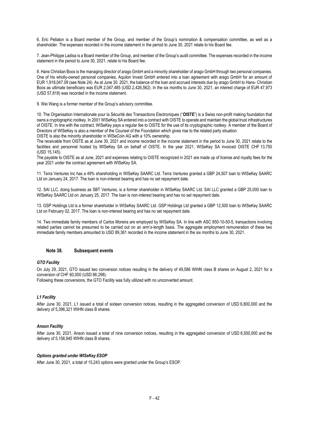6. Eric Pellaton is a Board member of the Group, and member of the Group's nomination & compensation committee, as well as a shareholder. The expenses recorded in the income statement in the period to June 30, 2021 relate to his Board fee.

7. Jean-Philippe Ladisa is a Board member of the Group, and member of the Group's audit committee. The expenses recorded in the income statement in the period to June 30, 2021, relate to his Board fee.

8. Hans Christian Boos is the managing director of arago GmbH and a minority shareholder of arago GmbH through two personal companies. One of his wholly-owned personal companies, Aquilon Invest GmbH entered into a loan agreement with arago GmbH for an amount of EUR 1,918,047.09 (see Note 24). As at June 30. 2021, the balance of the loan and accrued interests due by arago GmbH to Hans- Christian Boos as ultimate beneficiary was EUR 2,047,485 (USD 2,426,562). In the six months to June 30, 2021, an interest charge of EUR 47,973 (USD 57,818) was recorded in the income statement.

9. Wei Wang is a former member of the Group's advisory committee.

10. The Organisation Internationale pour la Sécurité des Transactions Electroniques ("**OISTE**") is a Swiss non-profit making foundation that owns a cryptographic rootkey. In 2001 WISeKey SA entered into a contract with OISTE to operate and maintain the global trust infrastructures of OISTE. In line with the contract, WISeKey pays a regular fee to OISTE for the use of its cryptographic rootkey. A member of the Board of Directors of WISeKey is also a member of the Counsel of the Foundation which gives rise to the related party situation. OISTE is also the minority shareholder in WISeCoin AG with a 10% ownership.

The receivable from OISTE as at June 30, 2021 and income recorded in the income statement in the period to June 30, 2021 relate to the facilities and personnel hosted by WISeKey SA on behalf of OISTE. In the year 2021, WISeKey SA invoiced OISTE CHF 13,750 (USD 15,145).

The payable to OISTE as at June, 2021 and expenses relating to OISTE recognized in 2021 are made up of license and royalty fees for the year 2021 under the contract agreement with WISeKey SA.

11. Terra Ventures Inc has a 49% shareholding in WISeKey SAARC Ltd. Terra Ventures granted a GBP 24,507 loan to WISeKey SAARC Ltd on January 24, 2017. The loan is non-interest bearing and has no set repayment date.

12. SAI LLC, doing business as SBT Ventures, is a former shareholder in WISeKey SAARC Ltd. SAI LLC granted a GBP 25,000 loan to WISeKey SAARC Ltd on January 25, 2017. The loan is non-interest bearing and has no set repayment date.

13. GSP Holdings Ltd is a former shareholder in WISeKey SAARC Ltd. GSP Holdings Ltd granted a GBP 12,500 loan to WISeKey SAARC Ltd on February 02, 2017. The loan is non-interest bearing and has no set repayment date.

14. Two immediate family members of Carlos Moreira are employed by WISeKey SA. In line with ASC 850-10-50-5, transactions involving related parties cannot be presumed to be carried out on an arm's-length basis. The aggregate employment remuneration of these two immediate family members amounted to USD 89,361 recorded in the income statement in the six months to June 30, 2021.

## **Note 38. Subsequent events**

## *GTO Facility*

On July 29, 2021, GTO issued two conversion notices resulting in the delivery of 49,586 WIHN class B shares on August 2, 2021 for a conversion of CHF 60,000 (USD 66,298).

Following these conversions, the GTO Facility was fully utilized with no unconverted amount.

## *L1 Facility*

After June 30, 2021, L1 issued a total of sixteen conversion notices, resulting in the aggregated conversion of USD 6,800,000 and the delivery of 5,396,321 WIHN class B shares.

## *Anson Facility*

After June 30, 2021, Anson issued a total of nine conversion notices, resulting in the aggregated conversion of USD 6,500,000 and the delivery of 5,156,945 WIHN class B shares.

## *Options granted under WISeKey ESOP*

After June 30, 2021, a total of 15,243 options were granted under the Group's ESOP.